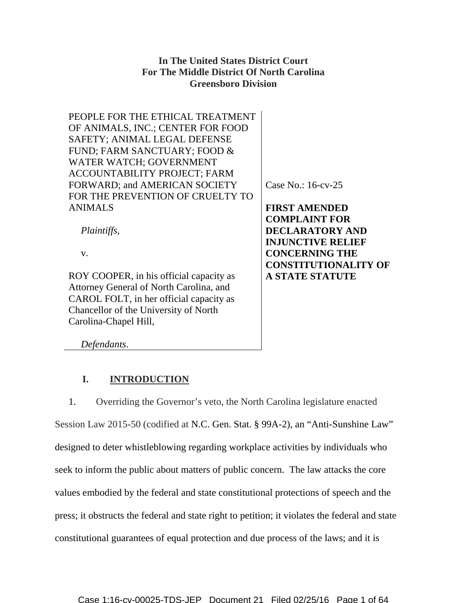# **In The United States District Court For The Middle District Of North Carolina Greensboro Division**

PEOPLE FOR THE ETHICAL TREATMENT OF ANIMALS, INC.; CENTER FOR FOOD SAFETY; ANIMAL LEGAL DEFENSE FUND; FARM SANCTUARY; FOOD & WATER WATCH; GOVERNMENT ACCOUNTABILITY PROJECT; FARM FORWARD; and AMERICAN SOCIETY FOR THE PREVENTION OF CRUELTY TO ANIMALS

*Plaintiffs*,

v.

ROY COOPER, in his official capacity as Attorney General of North Carolina, and CAROL FOLT, in her official capacity as Chancellor of the University of North Carolina-Chapel Hill,

Case No.: 16-cv-25

**FIRST AMENDED COMPLAINT FOR DECLARATORY AND INJUNCTIVE RELIEF CONCERNING THE CONSTITUTIONALITY OF A STATE STATUTE** 

*Defendants*.

# **I. INTRODUCTION**

1. Overriding the Governor's veto, the North Carolina legislature enacted Session Law 2015-50 (codified at N.C. Gen. Stat. § 99A-2), an "Anti-Sunshine Law" designed to deter whistleblowing regarding workplace activities by individuals who seek to inform the public about matters of public concern. The law attacks the core values embodied by the federal and state constitutional protections of speech and the press; it obstructs the federal and state right to petition; it violates the federal and state constitutional guarantees of equal protection and due process of the laws; and it is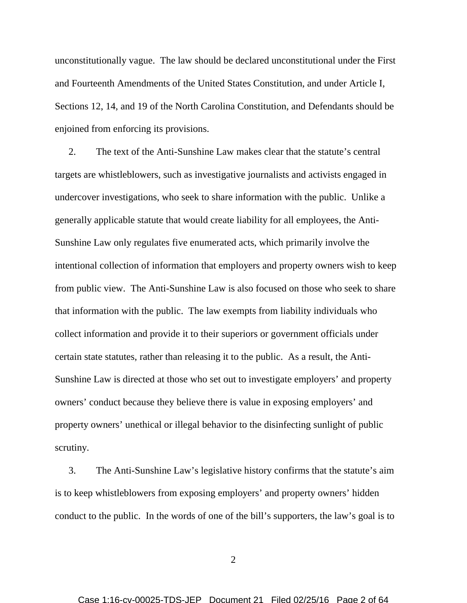unconstitutionally vague. The law should be declared unconstitutional under the First and Fourteenth Amendments of the United States Constitution, and under Article I, Sections 12, 14, and 19 of the North Carolina Constitution, and Defendants should be enjoined from enforcing its provisions.

2. The text of the Anti-Sunshine Law makes clear that the statute's central targets are whistleblowers, such as investigative journalists and activists engaged in undercover investigations, who seek to share information with the public. Unlike a generally applicable statute that would create liability for all employees, the Anti-Sunshine Law only regulates five enumerated acts, which primarily involve the intentional collection of information that employers and property owners wish to keep from public view. The Anti-Sunshine Law is also focused on those who seek to share that information with the public. The law exempts from liability individuals who collect information and provide it to their superiors or government officials under certain state statutes, rather than releasing it to the public. As a result, the Anti-Sunshine Law is directed at those who set out to investigate employers' and property owners' conduct because they believe there is value in exposing employers' and property owners' unethical or illegal behavior to the disinfecting sunlight of public scrutiny.

3. The Anti-Sunshine Law's legislative history confirms that the statute's aim is to keep whistleblowers from exposing employers' and property owners' hidden conduct to the public. In the words of one of the bill's supporters, the law's goal is to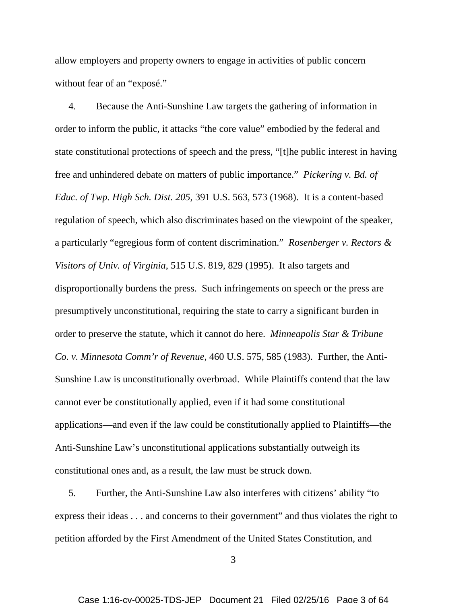allow employers and property owners to engage in activities of public concern without fear of an "exposé."

4. Because the Anti-Sunshine Law targets the gathering of information in order to inform the public, it attacks "the core value" embodied by the federal and state constitutional protections of speech and the press, "[t]he public interest in having free and unhindered debate on matters of public importance." *Pickering v. Bd. of Educ. of Twp. High Sch. Dist. 205*, 391 U.S. 563, 573 (1968). It is a content-based regulation of speech, which also discriminates based on the viewpoint of the speaker, a particularly "egregious form of content discrimination." *Rosenberger v. Rectors & Visitors of Univ. of Virginia*, 515 U.S. 819, 829 (1995). It also targets and disproportionally burdens the press. Such infringements on speech or the press are presumptively unconstitutional, requiring the state to carry a significant burden in order to preserve the statute, which it cannot do here. *Minneapolis Star & Tribune Co. v. Minnesota Comm'r of Revenue*, 460 U.S. 575, 585 (1983). Further, the Anti-Sunshine Law is unconstitutionally overbroad. While Plaintiffs contend that the law cannot ever be constitutionally applied, even if it had some constitutional applications—and even if the law could be constitutionally applied to Plaintiffs—the Anti-Sunshine Law's unconstitutional applications substantially outweigh its constitutional ones and, as a result, the law must be struck down.

5. Further, the Anti-Sunshine Law also interferes with citizens' ability "to express their ideas . . . and concerns to their government" and thus violates the right to petition afforded by the First Amendment of the United States Constitution, and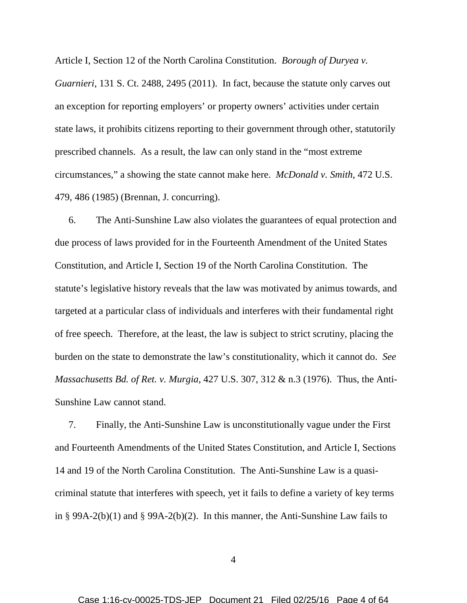Article I, Section 12 of the North Carolina Constitution. *Borough of Duryea v. Guarnieri*, 131 S. Ct. 2488, 2495 (2011). In fact, because the statute only carves out an exception for reporting employers' or property owners' activities under certain state laws, it prohibits citizens reporting to their government through other, statutorily prescribed channels. As a result, the law can only stand in the "most extreme circumstances," a showing the state cannot make here. *McDonald v. Smith*, 472 U.S. 479, 486 (1985) (Brennan, J. concurring).

6. The Anti-Sunshine Law also violates the guarantees of equal protection and due process of laws provided for in the Fourteenth Amendment of the United States Constitution, and Article I, Section 19 of the North Carolina Constitution. The statute's legislative history reveals that the law was motivated by animus towards, and targeted at a particular class of individuals and interferes with their fundamental right of free speech. Therefore, at the least, the law is subject to strict scrutiny, placing the burden on the state to demonstrate the law's constitutionality, which it cannot do. *See Massachusetts Bd. of Ret. v. Murgia,* 427 U.S. 307, 312 & n.3 (1976). Thus, the Anti-Sunshine Law cannot stand.

7. Finally, the Anti-Sunshine Law is unconstitutionally vague under the First and Fourteenth Amendments of the United States Constitution, and Article I, Sections 14 and 19 of the North Carolina Constitution. The Anti-Sunshine Law is a quasicriminal statute that interferes with speech, yet it fails to define a variety of key terms in § 99A-2(b)(1) and § 99A-2(b)(2). In this manner, the Anti-Sunshine Law fails to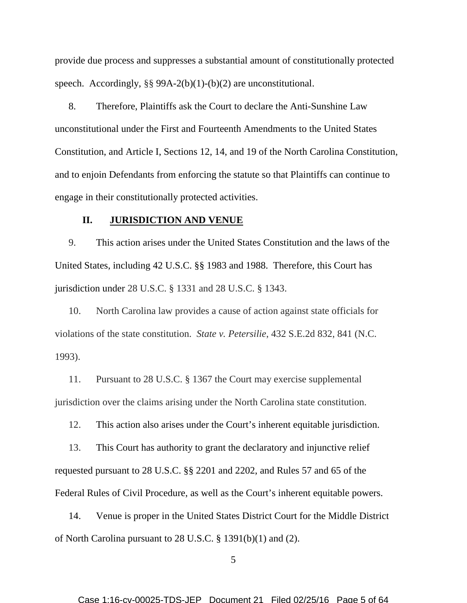provide due process and suppresses a substantial amount of constitutionally protected speech. Accordingly, §§ 99A-2(b)(1)-(b)(2) are unconstitutional.

8. Therefore, Plaintiffs ask the Court to declare the Anti-Sunshine Law unconstitutional under the First and Fourteenth Amendments to the United States Constitution, and Article I, Sections 12, 14, and 19 of the North Carolina Constitution, and to enjoin Defendants from enforcing the statute so that Plaintiffs can continue to engage in their constitutionally protected activities.

### **II. JURISDICTION AND VENUE**

9. This action arises under the United States Constitution and the laws of the United States, including 42 U.S.C. §§ 1983 and 1988. Therefore, this Court has jurisdiction under 28 U.S.C. § 1331 and 28 U.S.C. § 1343.

10. North Carolina law provides a cause of action against state officials for violations of the state constitution. *State v. Petersilie*, 432 S.E.2d 832, 841 (N.C. 1993).

11. Pursuant to 28 U.S.C. § 1367 the Court may exercise supplemental jurisdiction over the claims arising under the North Carolina state constitution.

12. This action also arises under the Court's inherent equitable jurisdiction.

13. This Court has authority to grant the declaratory and injunctive relief requested pursuant to 28 U.S.C. §§ 2201 and 2202, and Rules 57 and 65 of the Federal Rules of Civil Procedure, as well as the Court's inherent equitable powers.

14. Venue is proper in the United States District Court for the Middle District of North Carolina pursuant to 28 U.S.C. § 1391(b)(1) and (2).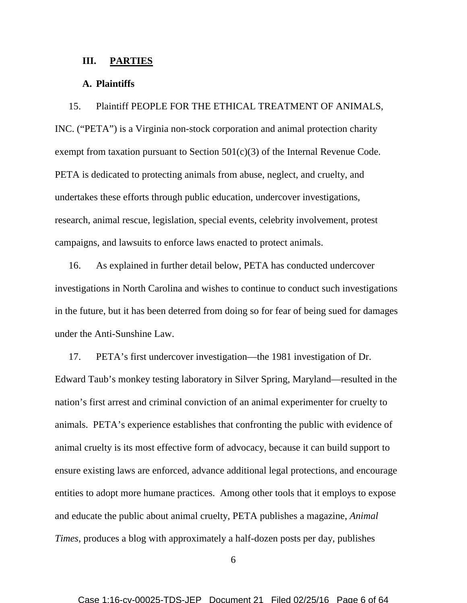#### **III. PARTIES**

#### **A. Plaintiffs**

15. Plaintiff PEOPLE FOR THE ETHICAL TREATMENT OF ANIMALS, INC. ("PETA") is a Virginia non-stock corporation and animal protection charity exempt from taxation pursuant to Section 501(c)(3) of the Internal Revenue Code. PETA is dedicated to protecting animals from abuse, neglect, and cruelty, and undertakes these efforts through public education, undercover investigations, research, animal rescue, legislation, special events, celebrity involvement, protest campaigns, and lawsuits to enforce laws enacted to protect animals.

16. As explained in further detail below, PETA has conducted undercover investigations in North Carolina and wishes to continue to conduct such investigations in the future, but it has been deterred from doing so for fear of being sued for damages under the Anti-Sunshine Law.

17. PETA's first undercover investigation—the 1981 investigation of Dr. Edward Taub's monkey testing laboratory in Silver Spring, Maryland—resulted in the nation's first arrest and criminal conviction of an animal experimenter for cruelty to animals. PETA's experience establishes that confronting the public with evidence of animal cruelty is its most effective form of advocacy, because it can build support to ensure existing laws are enforced, advance additional legal protections, and encourage entities to adopt more humane practices. Among other tools that it employs to expose and educate the public about animal cruelty, PETA publishes a magazine, *Animal Times*, produces a blog with approximately a half-dozen posts per day, publishes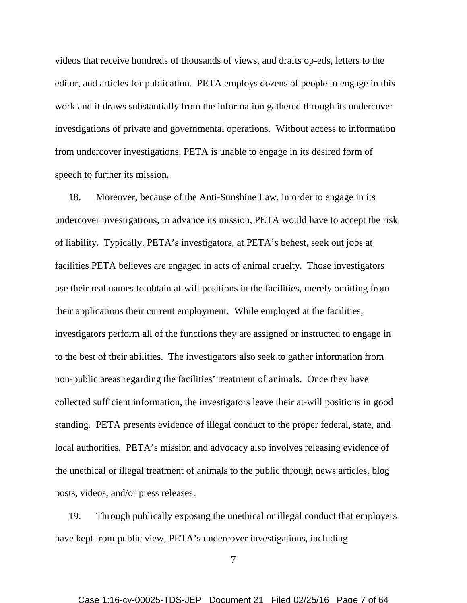videos that receive hundreds of thousands of views, and drafts op-eds, letters to the editor, and articles for publication. PETA employs dozens of people to engage in this work and it draws substantially from the information gathered through its undercover investigations of private and governmental operations. Without access to information from undercover investigations, PETA is unable to engage in its desired form of speech to further its mission.

18. Moreover, because of the Anti-Sunshine Law, in order to engage in its undercover investigations, to advance its mission, PETA would have to accept the risk of liability. Typically, PETA's investigators, at PETA's behest, seek out jobs at facilities PETA believes are engaged in acts of animal cruelty. Those investigators use their real names to obtain at-will positions in the facilities, merely omitting from their applications their current employment. While employed at the facilities, investigators perform all of the functions they are assigned or instructed to engage in to the best of their abilities. The investigators also seek to gather information from non-public areas regarding the facilities' treatment of animals. Once they have collected sufficient information, the investigators leave their at-will positions in good standing. PETA presents evidence of illegal conduct to the proper federal, state, and local authorities. PETA's mission and advocacy also involves releasing evidence of the unethical or illegal treatment of animals to the public through news articles, blog posts, videos, and/or press releases.

19. Through publically exposing the unethical or illegal conduct that employers have kept from public view, PETA's undercover investigations, including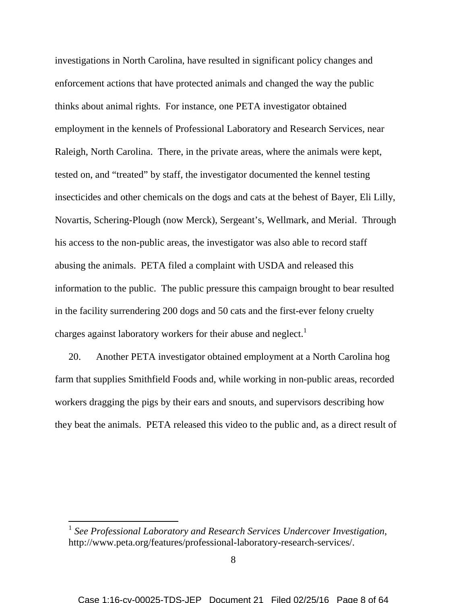investigations in North Carolina, have resulted in significant policy changes and enforcement actions that have protected animals and changed the way the public thinks about animal rights. For instance, one PETA investigator obtained employment in the kennels of Professional Laboratory and Research Services, near Raleigh, North Carolina. There, in the private areas, where the animals were kept, tested on, and "treated" by staff, the investigator documented the kennel testing insecticides and other chemicals on the dogs and cats at the behest of Bayer, Eli Lilly, Novartis, Schering-Plough (now Merck), Sergeant's, Wellmark, and Merial. Through his access to the non-public areas, the investigator was also able to record staff abusing the animals. PETA filed a complaint with USDA and released this information to the public. The public pressure this campaign brought to bear resulted in the facility surrendering 200 dogs and 50 cats and the first-ever felony cruelty charges against laboratory workers for their abuse and neglect.<sup>1</sup>

20. Another PETA investigator obtained employment at a North Carolina hog farm that supplies Smithfield Foods and, while working in non-public areas, recorded workers dragging the pigs by their ears and snouts, and supervisors describing how they beat the animals. PETA released this video to the public and, as a direct result of

<sup>&</sup>lt;sup>1</sup> See Professional Laboratory and Research Services Undercover Investigation, http://www.peta.org/features/professional-laboratory-research-services/.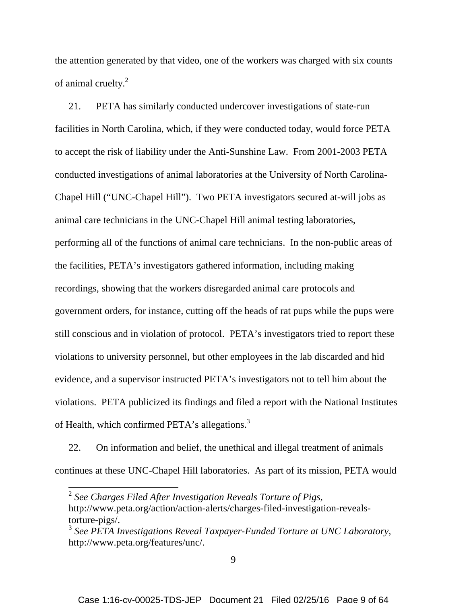the attention generated by that video, one of the workers was charged with six counts of animal cruelty.<sup>2</sup>

21. PETA has similarly conducted undercover investigations of state-run facilities in North Carolina, which, if they were conducted today, would force PETA to accept the risk of liability under the Anti-Sunshine Law. From 2001-2003 PETA conducted investigations of animal laboratories at the University of North Carolina-Chapel Hill ("UNC-Chapel Hill"). Two PETA investigators secured at-will jobs as animal care technicians in the UNC-Chapel Hill animal testing laboratories, performing all of the functions of animal care technicians. In the non-public areas of the facilities, PETA's investigators gathered information, including making recordings, showing that the workers disregarded animal care protocols and government orders, for instance, cutting off the heads of rat pups while the pups were still conscious and in violation of protocol. PETA's investigators tried to report these violations to university personnel, but other employees in the lab discarded and hid evidence, and a supervisor instructed PETA's investigators not to tell him about the violations. PETA publicized its findings and filed a report with the National Institutes of Health, which confirmed PETA's allegations.<sup>3</sup>

22. On information and belief, the unethical and illegal treatment of animals continues at these UNC-Chapel Hill laboratories. As part of its mission, PETA would

<sup>2</sup> *See Charges Filed After Investigation Reveals Torture of Pigs*, http://www.peta.org/action/action-alerts/charges-filed-investigation-revealstorture-pigs/.

<sup>3</sup> *See PETA Investigations Reveal Taxpayer-Funded Torture at UNC Laboratory*, http://www.peta.org/features/unc/.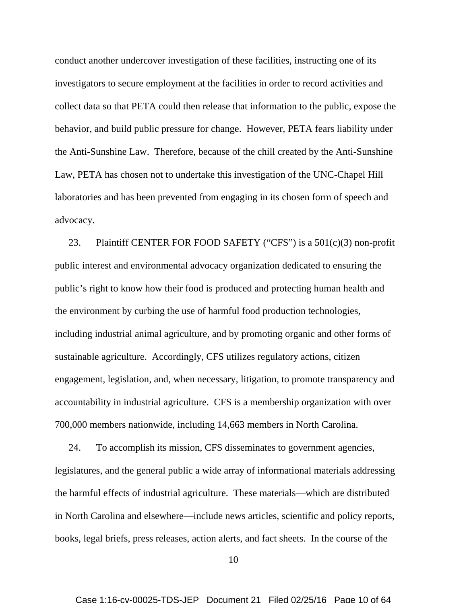conduct another undercover investigation of these facilities, instructing one of its investigators to secure employment at the facilities in order to record activities and collect data so that PETA could then release that information to the public, expose the behavior, and build public pressure for change. However, PETA fears liability under the Anti-Sunshine Law. Therefore, because of the chill created by the Anti-Sunshine Law, PETA has chosen not to undertake this investigation of the UNC-Chapel Hill laboratories and has been prevented from engaging in its chosen form of speech and advocacy.

23. Plaintiff CENTER FOR FOOD SAFETY ("CFS") is a  $501(c)(3)$  non-profit public interest and environmental advocacy organization dedicated to ensuring the public's right to know how their food is produced and protecting human health and the environment by curbing the use of harmful food production technologies, including industrial animal agriculture, and by promoting organic and other forms of sustainable agriculture. Accordingly, CFS utilizes regulatory actions, citizen engagement, legislation, and, when necessary, litigation, to promote transparency and accountability in industrial agriculture. CFS is a membership organization with over 700,000 members nationwide, including 14,663 members in North Carolina.

24. To accomplish its mission, CFS disseminates to government agencies, legislatures, and the general public a wide array of informational materials addressing the harmful effects of industrial agriculture. These materials—which are distributed in North Carolina and elsewhere—include news articles, scientific and policy reports, books, legal briefs, press releases, action alerts, and fact sheets. In the course of the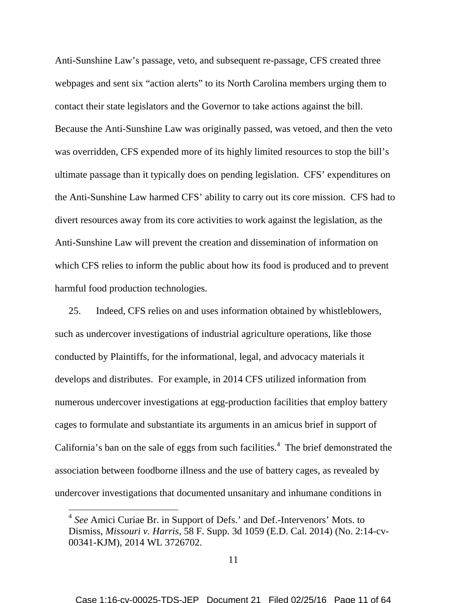Anti-Sunshine Law's passage, veto, and subsequent re-passage, CFS created three webpages and sent six "action alerts" to its North Carolina members urging them to contact their state legislators and the Governor to take actions against the bill. Because the Anti-Sunshine Law was originally passed, was vetoed, and then the veto was overridden, CFS expended more of its highly limited resources to stop the bill's ultimate passage than it typically does on pending legislation. CFS' expenditures on the Anti-Sunshine Law harmed CFS' ability to carry out its core mission. CFS had to divert resources away from its core activities to work against the legislation, as the Anti-Sunshine Law will prevent the creation and dissemination of information on which CFS relies to inform the public about how its food is produced and to prevent harmful food production technologies.

25. Indeed, CFS relies on and uses information obtained by whistleblowers, such as undercover investigations of industrial agriculture operations, like those conducted by Plaintiffs, for the informational, legal, and advocacy materials it develops and distributes. For example, in 2014 CFS utilized information from numerous undercover investigations at egg-production facilities that employ battery cages to formulate and substantiate its arguments in an amicus brief in support of California's ban on the sale of eggs from such facilities.<sup>4</sup> The brief demonstrated the association between foodborne illness and the use of battery cages, as revealed by undercover investigations that documented unsanitary and inhumane conditions in

<sup>&</sup>lt;sup>4</sup> See Amici Curiae Br. in Support of Defs.' and Def.-Intervenors' Mots. to Dismiss, *Missouri v. Harris*, 58 F. Supp. 3d 1059 (E.D. Cal. 2014) (No. 2:14-cv-00341-KJM), 2014 WL 3726702.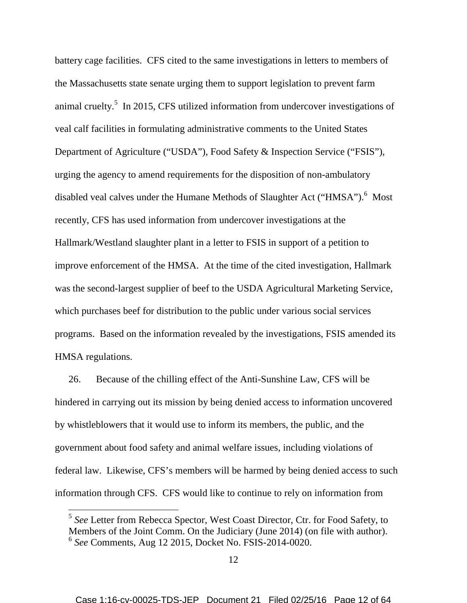battery cage facilities. CFS cited to the same investigations in letters to members of the Massachusetts state senate urging them to support legislation to prevent farm animal cruelty.<sup>5</sup> In 2015, CFS utilized information from undercover investigations of veal calf facilities in formulating administrative comments to the United States Department of Agriculture ("USDA"), Food Safety & Inspection Service ("FSIS"), urging the agency to amend requirements for the disposition of non-ambulatory disabled veal calves under the Humane Methods of Slaughter Act ("HMSA").<sup>6</sup> Most recently, CFS has used information from undercover investigations at the Hallmark/Westland slaughter plant in a letter to FSIS in support of a petition to improve enforcement of the HMSA. At the time of the cited investigation, Hallmark was the second-largest supplier of beef to the USDA Agricultural Marketing Service, which purchases beef for distribution to the public under various social services programs. Based on the information revealed by the investigations, FSIS amended its HMSA regulations.

26. Because of the chilling effect of the Anti-Sunshine Law, CFS will be hindered in carrying out its mission by being denied access to information uncovered by whistleblowers that it would use to inform its members, the public, and the government about food safety and animal welfare issues, including violations of federal law. Likewise, CFS's members will be harmed by being denied access to such information through CFS. CFS would like to continue to rely on information from

<sup>5</sup> *See* Letter from Rebecca Spector, West Coast Director, Ctr. for Food Safety, to Members of the Joint Comm. On the Judiciary (June 2014) (on file with author). 6 *See* Comments, Aug 12 2015, Docket No. FSIS-2014-0020.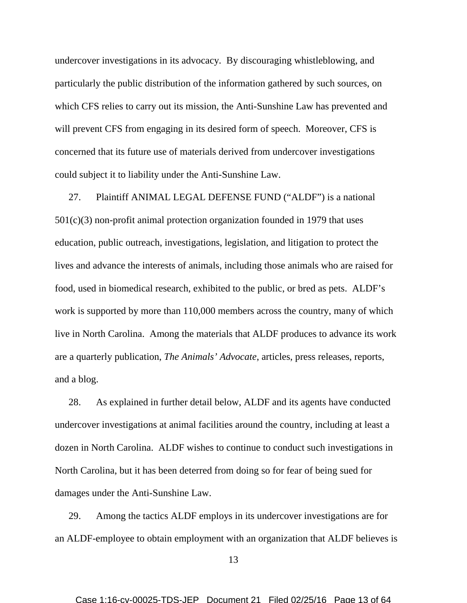undercover investigations in its advocacy. By discouraging whistleblowing, and particularly the public distribution of the information gathered by such sources, on which CFS relies to carry out its mission, the Anti-Sunshine Law has prevented and will prevent CFS from engaging in its desired form of speech. Moreover, CFS is concerned that its future use of materials derived from undercover investigations could subject it to liability under the Anti-Sunshine Law.

27. Plaintiff ANIMAL LEGAL DEFENSE FUND ("ALDF") is a national 501(c)(3) non-profit animal protection organization founded in 1979 that uses education, public outreach, investigations, legislation, and litigation to protect the lives and advance the interests of animals, including those animals who are raised for food, used in biomedical research, exhibited to the public, or bred as pets. ALDF's work is supported by more than 110,000 members across the country, many of which live in North Carolina. Among the materials that ALDF produces to advance its work are a quarterly publication, *The Animals' Advocate*, articles, press releases, reports, and a blog.

28. As explained in further detail below, ALDF and its agents have conducted undercover investigations at animal facilities around the country, including at least a dozen in North Carolina. ALDF wishes to continue to conduct such investigations in North Carolina, but it has been deterred from doing so for fear of being sued for damages under the Anti-Sunshine Law.

29. Among the tactics ALDF employs in its undercover investigations are for an ALDF-employee to obtain employment with an organization that ALDF believes is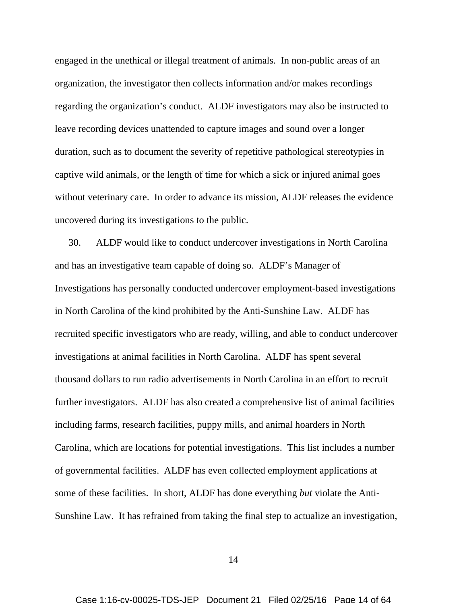engaged in the unethical or illegal treatment of animals. In non-public areas of an organization, the investigator then collects information and/or makes recordings regarding the organization's conduct. ALDF investigators may also be instructed to leave recording devices unattended to capture images and sound over a longer duration, such as to document the severity of repetitive pathological stereotypies in captive wild animals, or the length of time for which a sick or injured animal goes without veterinary care. In order to advance its mission, ALDF releases the evidence uncovered during its investigations to the public.

30. ALDF would like to conduct undercover investigations in North Carolina and has an investigative team capable of doing so. ALDF's Manager of Investigations has personally conducted undercover employment-based investigations in North Carolina of the kind prohibited by the Anti-Sunshine Law. ALDF has recruited specific investigators who are ready, willing, and able to conduct undercover investigations at animal facilities in North Carolina. ALDF has spent several thousand dollars to run radio advertisements in North Carolina in an effort to recruit further investigators. ALDF has also created a comprehensive list of animal facilities including farms, research facilities, puppy mills, and animal hoarders in North Carolina, which are locations for potential investigations. This list includes a number of governmental facilities. ALDF has even collected employment applications at some of these facilities. In short, ALDF has done everything *but* violate the Anti-Sunshine Law. It has refrained from taking the final step to actualize an investigation,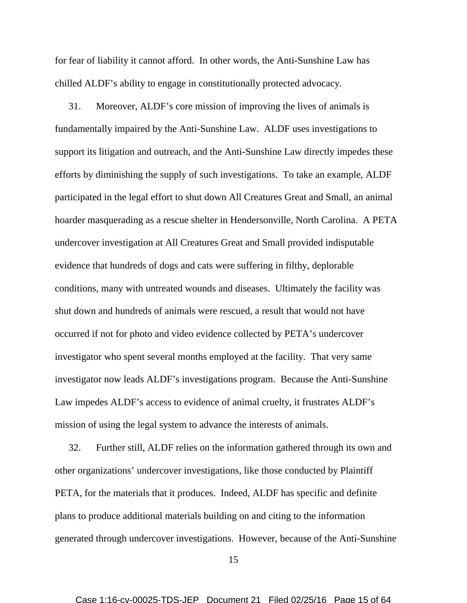for fear of liability it cannot afford. In other words, the Anti-Sunshine Law has chilled ALDF's ability to engage in constitutionally protected advocacy.

31. Moreover, ALDF's core mission of improving the lives of animals is fundamentally impaired by the Anti-Sunshine Law. ALDF uses investigations to support its litigation and outreach, and the Anti-Sunshine Law directly impedes these efforts by diminishing the supply of such investigations. To take an example, ALDF participated in the legal effort to shut down All Creatures Great and Small, an animal hoarder masquerading as a rescue shelter in Hendersonville, North Carolina. A PETA undercover investigation at All Creatures Great and Small provided indisputable evidence that hundreds of dogs and cats were suffering in filthy, deplorable conditions, many with untreated wounds and diseases. Ultimately the facility was shut down and hundreds of animals were rescued, a result that would not have occurred if not for photo and video evidence collected by PETA's undercover investigator who spent several months employed at the facility. That very same investigator now leads ALDF's investigations program. Because the Anti-Sunshine Law impedes ALDF's access to evidence of animal cruelty, it frustrates ALDF's mission of using the legal system to advance the interests of animals.

32. Further still, ALDF relies on the information gathered through its own and other organizations' undercover investigations, like those conducted by Plaintiff PETA, for the materials that it produces. Indeed, ALDF has specific and definite plans to produce additional materials building on and citing to the information generated through undercover investigations. However, because of the Anti-Sunshine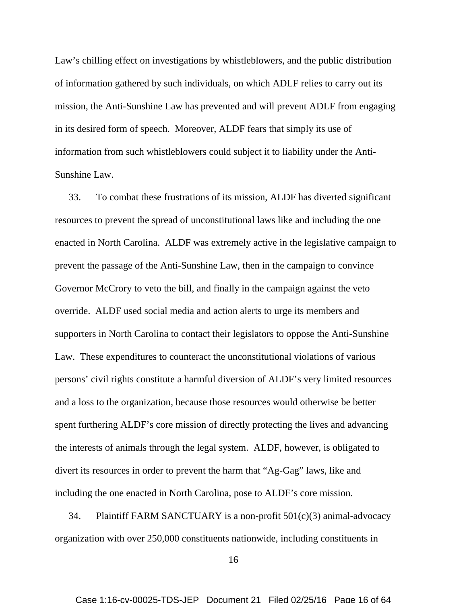Law's chilling effect on investigations by whistleblowers, and the public distribution of information gathered by such individuals, on which ADLF relies to carry out its mission, the Anti-Sunshine Law has prevented and will prevent ADLF from engaging in its desired form of speech. Moreover, ALDF fears that simply its use of information from such whistleblowers could subject it to liability under the Anti-Sunshine Law.

33. To combat these frustrations of its mission, ALDF has diverted significant resources to prevent the spread of unconstitutional laws like and including the one enacted in North Carolina. ALDF was extremely active in the legislative campaign to prevent the passage of the Anti-Sunshine Law, then in the campaign to convince Governor McCrory to veto the bill, and finally in the campaign against the veto override. ALDF used social media and action alerts to urge its members and supporters in North Carolina to contact their legislators to oppose the Anti-Sunshine Law. These expenditures to counteract the unconstitutional violations of various persons' civil rights constitute a harmful diversion of ALDF's very limited resources and a loss to the organization, because those resources would otherwise be better spent furthering ALDF's core mission of directly protecting the lives and advancing the interests of animals through the legal system. ALDF, however, is obligated to divert its resources in order to prevent the harm that "Ag-Gag" laws, like and including the one enacted in North Carolina, pose to ALDF's core mission.

34. Plaintiff FARM SANCTUARY is a non-profit  $501(c)(3)$  animal-advocacy organization with over 250,000 constituents nationwide, including constituents in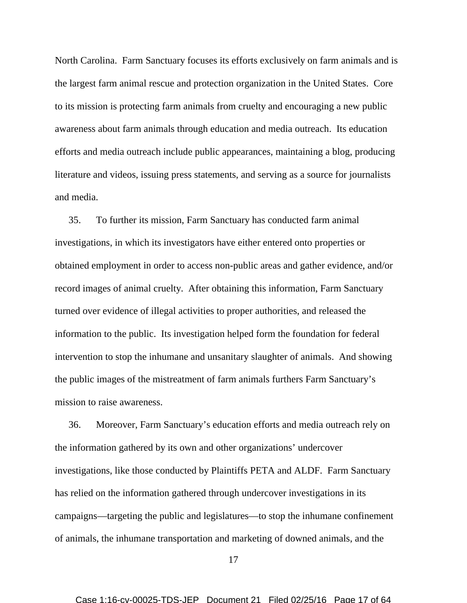North Carolina. Farm Sanctuary focuses its efforts exclusively on farm animals and is the largest farm animal rescue and protection organization in the United States. Core to its mission is protecting farm animals from cruelty and encouraging a new public awareness about farm animals through education and media outreach. Its education efforts and media outreach include public appearances, maintaining a blog, producing literature and videos, issuing press statements, and serving as a source for journalists and media.

35. To further its mission, Farm Sanctuary has conducted farm animal investigations, in which its investigators have either entered onto properties or obtained employment in order to access non-public areas and gather evidence, and/or record images of animal cruelty. After obtaining this information, Farm Sanctuary turned over evidence of illegal activities to proper authorities, and released the information to the public. Its investigation helped form the foundation for federal intervention to stop the inhumane and unsanitary slaughter of animals. And showing the public images of the mistreatment of farm animals furthers Farm Sanctuary's mission to raise awareness.

36. Moreover, Farm Sanctuary's education efforts and media outreach rely on the information gathered by its own and other organizations' undercover investigations, like those conducted by Plaintiffs PETA and ALDF. Farm Sanctuary has relied on the information gathered through undercover investigations in its campaigns—targeting the public and legislatures—to stop the inhumane confinement of animals, the inhumane transportation and marketing of downed animals, and the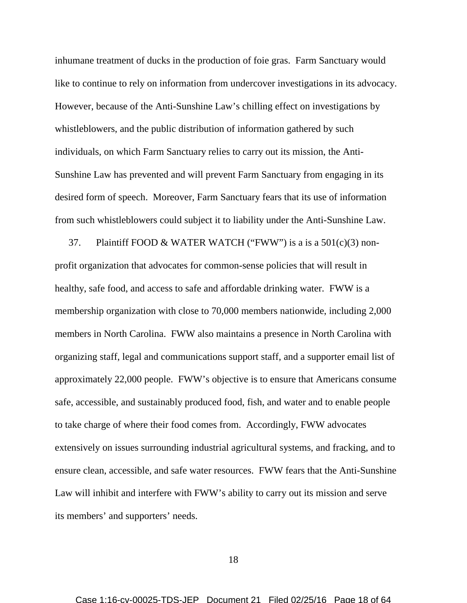inhumane treatment of ducks in the production of foie gras. Farm Sanctuary would like to continue to rely on information from undercover investigations in its advocacy. However, because of the Anti-Sunshine Law's chilling effect on investigations by whistleblowers, and the public distribution of information gathered by such individuals, on which Farm Sanctuary relies to carry out its mission, the Anti-Sunshine Law has prevented and will prevent Farm Sanctuary from engaging in its desired form of speech. Moreover, Farm Sanctuary fears that its use of information from such whistleblowers could subject it to liability under the Anti-Sunshine Law.

37. Plaintiff FOOD & WATER WATCH ("FWW") is a is a  $501(c)(3)$  nonprofit organization that advocates for common-sense policies that will result in healthy, safe food, and access to safe and affordable drinking water. FWW is a membership organization with close to 70,000 members nationwide, including 2,000 members in North Carolina. FWW also maintains a presence in North Carolina with organizing staff, legal and communications support staff, and a supporter email list of approximately 22,000 people. FWW's objective is to ensure that Americans consume safe, accessible, and sustainably produced food, fish, and water and to enable people to take charge of where their food comes from. Accordingly, FWW advocates extensively on issues surrounding industrial agricultural systems, and fracking, and to ensure clean, accessible, and safe water resources. FWW fears that the Anti-Sunshine Law will inhibit and interfere with FWW's ability to carry out its mission and serve its members' and supporters' needs.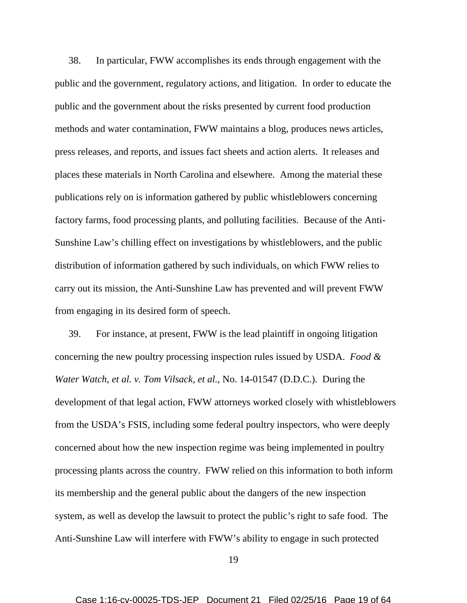38. In particular, FWW accomplishes its ends through engagement with the public and the government, regulatory actions, and litigation. In order to educate the public and the government about the risks presented by current food production methods and water contamination, FWW maintains a blog, produces news articles, press releases, and reports, and issues fact sheets and action alerts. It releases and places these materials in North Carolina and elsewhere. Among the material these publications rely on is information gathered by public whistleblowers concerning factory farms, food processing plants, and polluting facilities. Because of the Anti-Sunshine Law's chilling effect on investigations by whistleblowers, and the public distribution of information gathered by such individuals, on which FWW relies to carry out its mission, the Anti-Sunshine Law has prevented and will prevent FWW from engaging in its desired form of speech.

39. For instance, at present, FWW is the lead plaintiff in ongoing litigation concerning the new poultry processing inspection rules issued by USDA. *Food & Water Watch, et al. v. Tom Vilsack, et al.,* No. 14-01547 (D.D.C.). During the development of that legal action, FWW attorneys worked closely with whistleblowers from the USDA's FSIS, including some federal poultry inspectors, who were deeply concerned about how the new inspection regime was being implemented in poultry processing plants across the country. FWW relied on this information to both inform its membership and the general public about the dangers of the new inspection system, as well as develop the lawsuit to protect the public's right to safe food. The Anti-Sunshine Law will interfere with FWW's ability to engage in such protected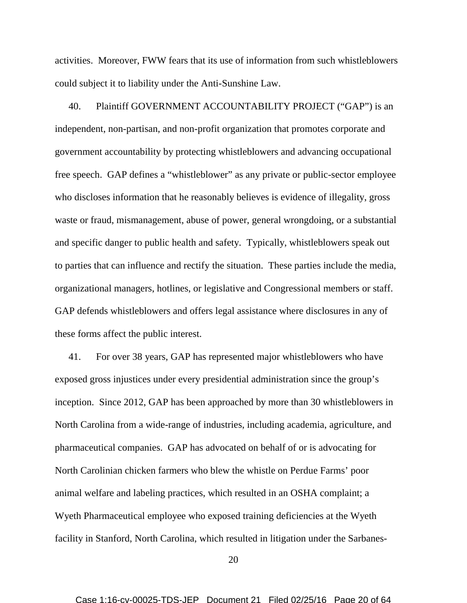activities. Moreover, FWW fears that its use of information from such whistleblowers could subject it to liability under the Anti-Sunshine Law.

40. Plaintiff GOVERNMENT ACCOUNTABILITY PROJECT ("GAP") is an independent, non-partisan, and non-profit organization that promotes corporate and government accountability by protecting whistleblowers and advancing occupational free speech. GAP defines a "whistleblower" as any private or public-sector employee who discloses information that he reasonably believes is evidence of illegality, gross waste or fraud, mismanagement, abuse of power, general wrongdoing, or a substantial and specific danger to public health and safety. Typically, whistleblowers speak out to parties that can influence and rectify the situation. These parties include the media, organizational managers, hotlines, or legislative and Congressional members or staff. GAP defends whistleblowers and offers legal assistance where disclosures in any of these forms affect the public interest.

41. For over 38 years, GAP has represented major whistleblowers who have exposed gross injustices under every presidential administration since the group's inception. Since 2012, GAP has been approached by more than 30 whistleblowers in North Carolina from a wide-range of industries, including academia, agriculture, and pharmaceutical companies. GAP has advocated on behalf of or is advocating for North Carolinian chicken farmers who blew the whistle on Perdue Farms' poor animal welfare and labeling practices, which resulted in an OSHA complaint; a Wyeth Pharmaceutical employee who exposed training deficiencies at the Wyeth facility in Stanford, North Carolina, which resulted in litigation under the Sarbanes-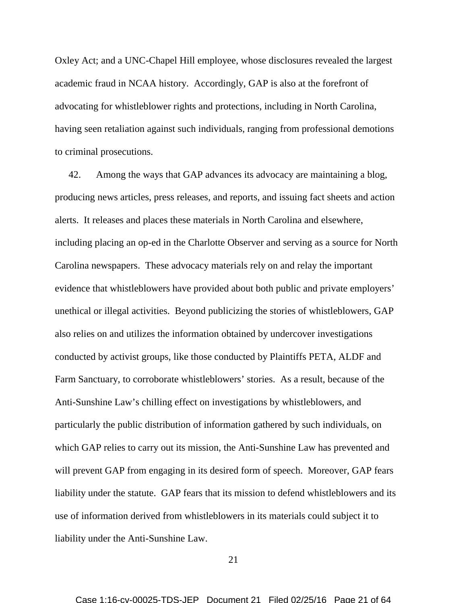Oxley Act; and a UNC-Chapel Hill employee, whose disclosures revealed the largest academic fraud in NCAA history. Accordingly, GAP is also at the forefront of advocating for whistleblower rights and protections, including in North Carolina, having seen retaliation against such individuals, ranging from professional demotions to criminal prosecutions.

42. Among the ways that GAP advances its advocacy are maintaining a blog, producing news articles, press releases, and reports, and issuing fact sheets and action alerts. It releases and places these materials in North Carolina and elsewhere, including placing an op-ed in the Charlotte Observer and serving as a source for North Carolina newspapers. These advocacy materials rely on and relay the important evidence that whistleblowers have provided about both public and private employers' unethical or illegal activities. Beyond publicizing the stories of whistleblowers, GAP also relies on and utilizes the information obtained by undercover investigations conducted by activist groups, like those conducted by Plaintiffs PETA, ALDF and Farm Sanctuary, to corroborate whistleblowers' stories. As a result, because of the Anti-Sunshine Law's chilling effect on investigations by whistleblowers, and particularly the public distribution of information gathered by such individuals, on which GAP relies to carry out its mission, the Anti-Sunshine Law has prevented and will prevent GAP from engaging in its desired form of speech. Moreover, GAP fears liability under the statute. GAP fears that its mission to defend whistleblowers and its use of information derived from whistleblowers in its materials could subject it to liability under the Anti-Sunshine Law.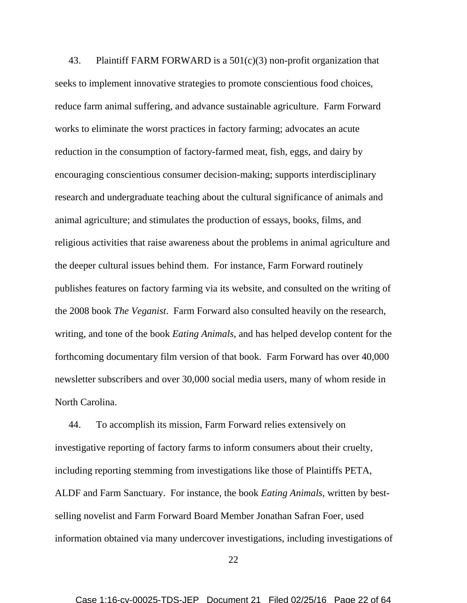43. Plaintiff FARM FORWARD is a  $501(c)(3)$  non-profit organization that seeks to implement innovative strategies to promote conscientious food choices, reduce farm animal suffering, and advance sustainable agriculture. Farm Forward works to eliminate the worst practices in factory farming; advocates an acute reduction in the consumption of factory-farmed meat, fish, eggs, and dairy by encouraging conscientious consumer decision-making; supports interdisciplinary research and undergraduate teaching about the cultural significance of animals and animal agriculture; and stimulates the production of essays, books, films, and religious activities that raise awareness about the problems in animal agriculture and the deeper cultural issues behind them. For instance, Farm Forward routinely publishes features on factory farming via its website, and consulted on the writing of the 2008 book *The Veganist*. Farm Forward also consulted heavily on the research, writing, and tone of the book *Eating Animals*, and has helped develop content for the forthcoming documentary film version of that book. Farm Forward has over 40,000 newsletter subscribers and over 30,000 social media users, many of whom reside in North Carolina.

44. To accomplish its mission, Farm Forward relies extensively on investigative reporting of factory farms to inform consumers about their cruelty, including reporting stemming from investigations like those of Plaintiffs PETA, ALDF and Farm Sanctuary. For instance, the book *Eating Animals*, written by bestselling novelist and Farm Forward Board Member Jonathan Safran Foer, used information obtained via many undercover investigations, including investigations of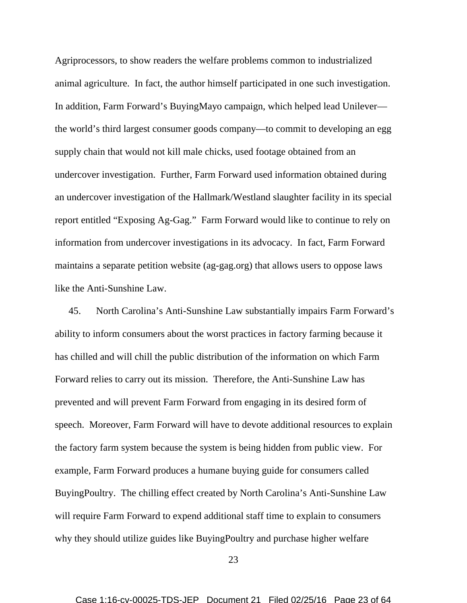Agriprocessors, to show readers the welfare problems common to industrialized animal agriculture. In fact, the author himself participated in one such investigation. In addition, Farm Forward's BuyingMayo campaign, which helped lead Unilever the world's third largest consumer goods company—to commit to developing an egg supply chain that would not kill male chicks, used footage obtained from an undercover investigation. Further, Farm Forward used information obtained during an undercover investigation of the Hallmark/Westland slaughter facility in its special report entitled "Exposing Ag-Gag." Farm Forward would like to continue to rely on information from undercover investigations in its advocacy. In fact, Farm Forward maintains a separate petition website (ag-gag.org) that allows users to oppose laws like the Anti-Sunshine Law.

45. North Carolina's Anti-Sunshine Law substantially impairs Farm Forward's ability to inform consumers about the worst practices in factory farming because it has chilled and will chill the public distribution of the information on which Farm Forward relies to carry out its mission. Therefore, the Anti-Sunshine Law has prevented and will prevent Farm Forward from engaging in its desired form of speech. Moreover, Farm Forward will have to devote additional resources to explain the factory farm system because the system is being hidden from public view. For example, Farm Forward produces a humane buying guide for consumers called BuyingPoultry. The chilling effect created by North Carolina's Anti-Sunshine Law will require Farm Forward to expend additional staff time to explain to consumers why they should utilize guides like BuyingPoultry and purchase higher welfare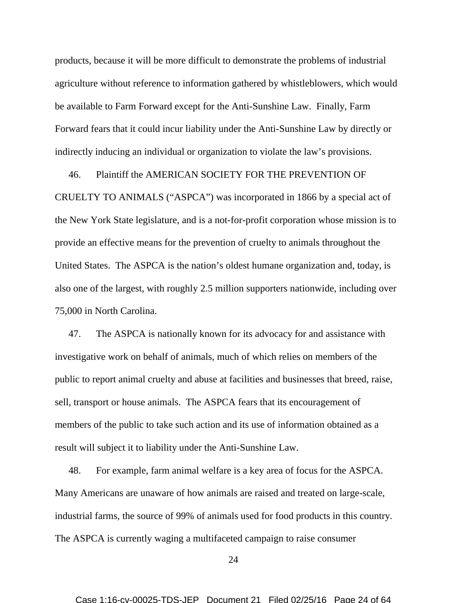products, because it will be more difficult to demonstrate the problems of industrial agriculture without reference to information gathered by whistleblowers, which would be available to Farm Forward except for the Anti-Sunshine Law. Finally, Farm Forward fears that it could incur liability under the Anti-Sunshine Law by directly or indirectly inducing an individual or organization to violate the law's provisions.

46. Plaintiff the AMERICAN SOCIETY FOR THE PREVENTION OF

CRUELTY TO ANIMALS ("ASPCA") was incorporated in 1866 by a special act of the New York State legislature, and is a not-for-profit corporation whose mission is to provide an effective means for the prevention of cruelty to animals throughout the United States. The ASPCA is the nation's oldest humane organization and, today, is also one of the largest, with roughly 2.5 million supporters nationwide, including over 75,000 in North Carolina.

47. The ASPCA is nationally known for its advocacy for and assistance with investigative work on behalf of animals, much of which relies on members of the public to report animal cruelty and abuse at facilities and businesses that breed, raise, sell, transport or house animals. The ASPCA fears that its encouragement of members of the public to take such action and its use of information obtained as a result will subject it to liability under the Anti-Sunshine Law.

48. For example, farm animal welfare is a key area of focus for the ASPCA. Many Americans are unaware of how animals are raised and treated on large-scale, industrial farms, the source of 99% of animals used for food products in this country. The ASPCA is currently waging a multifaceted campaign to raise consumer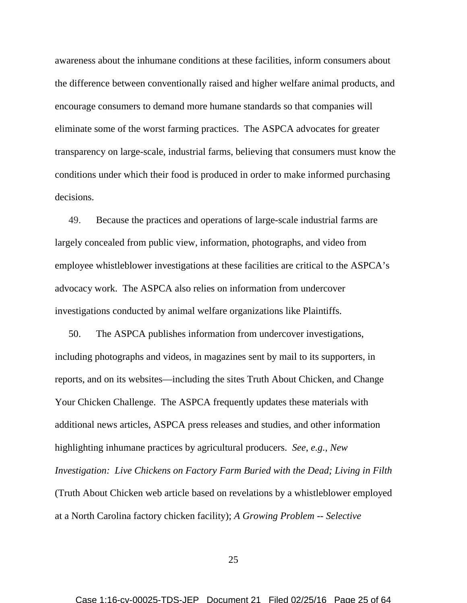awareness about the inhumane conditions at these facilities, inform consumers about the difference between conventionally raised and higher welfare animal products, and encourage consumers to demand more humane standards so that companies will eliminate some of the worst farming practices. The ASPCA advocates for greater transparency on large-scale, industrial farms, believing that consumers must know the conditions under which their food is produced in order to make informed purchasing decisions.

49. Because the practices and operations of large-scale industrial farms are largely concealed from public view, information, photographs, and video from employee whistleblower investigations at these facilities are critical to the ASPCA's advocacy work. The ASPCA also relies on information from undercover investigations conducted by animal welfare organizations like Plaintiffs.

50. The ASPCA publishes information from undercover investigations, including photographs and videos, in magazines sent by mail to its supporters, in reports, and on its websites—including the sites Truth About Chicken, and Change Your Chicken Challenge. The ASPCA frequently updates these materials with additional news articles, ASPCA press releases and studies, and other information highlighting inhumane practices by agricultural producers. *See*, *e.g.*, *New Investigation: Live Chickens on Factory Farm Buried with the Dead; Living in Filth* (Truth About Chicken web article based on revelations by a whistleblower employed at a North Carolina factory chicken facility); *A Growing Problem -- Selective*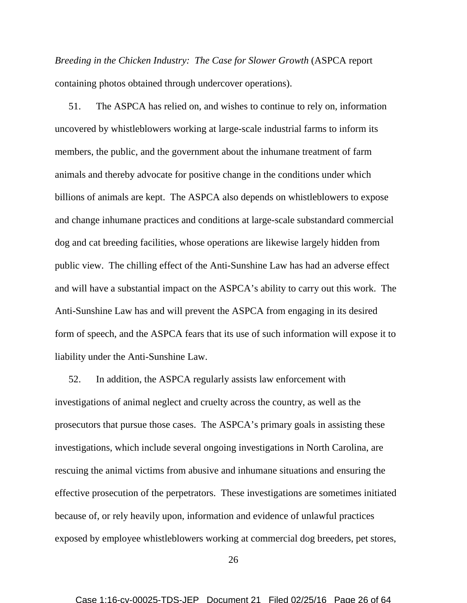*Breeding in the Chicken Industry: The Case for Slower Growth* (ASPCA report containing photos obtained through undercover operations).

51. The ASPCA has relied on, and wishes to continue to rely on, information uncovered by whistleblowers working at large-scale industrial farms to inform its members, the public, and the government about the inhumane treatment of farm animals and thereby advocate for positive change in the conditions under which billions of animals are kept. The ASPCA also depends on whistleblowers to expose and change inhumane practices and conditions at large-scale substandard commercial dog and cat breeding facilities, whose operations are likewise largely hidden from public view. The chilling effect of the Anti-Sunshine Law has had an adverse effect and will have a substantial impact on the ASPCA's ability to carry out this work. The Anti-Sunshine Law has and will prevent the ASPCA from engaging in its desired form of speech, and the ASPCA fears that its use of such information will expose it to liability under the Anti-Sunshine Law.

52. In addition, the ASPCA regularly assists law enforcement with investigations of animal neglect and cruelty across the country, as well as the prosecutors that pursue those cases. The ASPCA's primary goals in assisting these investigations, which include several ongoing investigations in North Carolina, are rescuing the animal victims from abusive and inhumane situations and ensuring the effective prosecution of the perpetrators. These investigations are sometimes initiated because of, or rely heavily upon, information and evidence of unlawful practices exposed by employee whistleblowers working at commercial dog breeders, pet stores,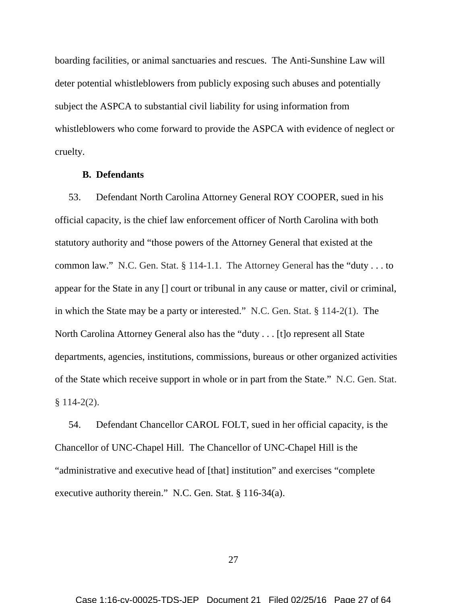boarding facilities, or animal sanctuaries and rescues. The Anti-Sunshine Law will deter potential whistleblowers from publicly exposing such abuses and potentially subject the ASPCA to substantial civil liability for using information from whistleblowers who come forward to provide the ASPCA with evidence of neglect or cruelty.

#### **B. Defendants**

53. Defendant North Carolina Attorney General ROY COOPER, sued in his official capacity, is the chief law enforcement officer of North Carolina with both statutory authority and "those powers of the Attorney General that existed at the common law." N.C. Gen. Stat. § 114-1.1. The Attorney General has the "duty . . . to appear for the State in any [] court or tribunal in any cause or matter, civil or criminal, in which the State may be a party or interested." N.C. Gen. Stat. § 114-2(1). The North Carolina Attorney General also has the "duty . . . [t]o represent all State departments, agencies, institutions, commissions, bureaus or other organized activities of the State which receive support in whole or in part from the State." N.C. Gen. Stat.  $§ 114-2(2).$ 

54. Defendant Chancellor CAROL FOLT, sued in her official capacity, is the Chancellor of UNC-Chapel Hill. The Chancellor of UNC-Chapel Hill is the "administrative and executive head of [that] institution" and exercises "complete executive authority therein." N.C. Gen. Stat. § 116-34(a).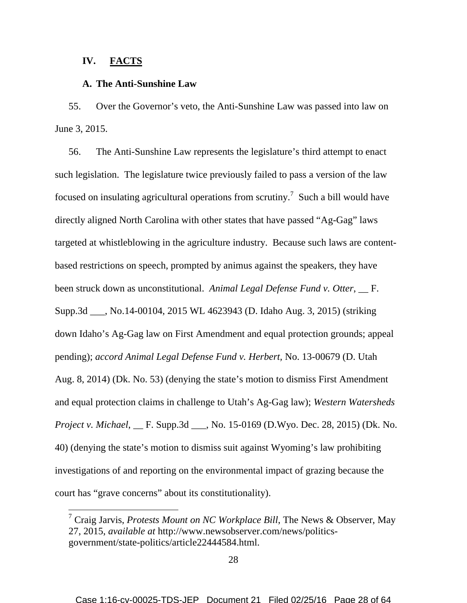### **IV. FACTS**

### **A. The Anti-Sunshine Law**

55. Over the Governor's veto, the Anti-Sunshine Law was passed into law on June 3, 2015.

56. The Anti-Sunshine Law represents the legislature's third attempt to enact such legislation. The legislature twice previously failed to pass a version of the law focused on insulating agricultural operations from scrutiny.<sup>7</sup> Such a bill would have directly aligned North Carolina with other states that have passed "Ag-Gag" laws targeted at whistleblowing in the agriculture industry. Because such laws are contentbased restrictions on speech, prompted by animus against the speakers, they have been struck down as unconstitutional. *Animal Legal Defense Fund v. Otter*, \_\_ F. Supp.3d \_\_\_, No.14-00104, 2015 WL 4623943 (D. Idaho Aug. 3, 2015) (striking down Idaho's Ag-Gag law on First Amendment and equal protection grounds; appeal pending); *accord Animal Legal Defense Fund v. Herbert,* No. 13-00679 (D. Utah Aug. 8, 2014) (Dk. No. 53) (denying the state's motion to dismiss First Amendment and equal protection claims in challenge to Utah's Ag-Gag law); *Western Watersheds Project v. Michael*, \_\_ F. Supp.3d \_\_\_, No. 15-0169 (D.Wyo. Dec. 28, 2015) (Dk. No. 40) (denying the state's motion to dismiss suit against Wyoming's law prohibiting investigations of and reporting on the environmental impact of grazing because the court has "grave concerns" about its constitutionality).

<sup>7</sup> Craig Jarvis, *Protests Mount on NC Workplace Bill*, The News & Observer, May 27, 2015, *available at* http://www.newsobserver.com/news/politicsgovernment/state-politics/article22444584.html.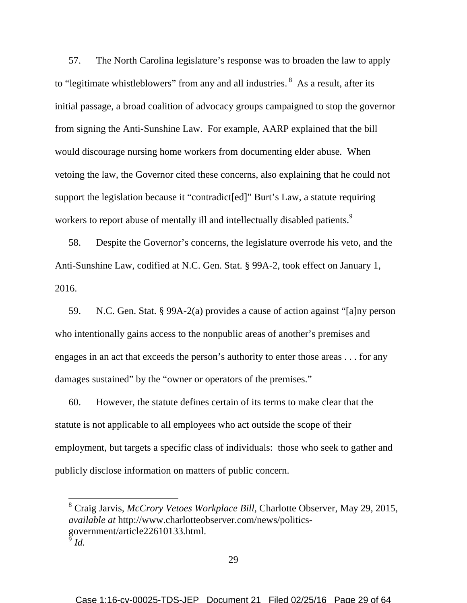57. The North Carolina legislature's response was to broaden the law to apply to "legitimate whistleblowers" from any and all industries. <sup>8</sup> As a result, after its initial passage, a broad coalition of advocacy groups campaigned to stop the governor from signing the Anti-Sunshine Law. For example, AARP explained that the bill would discourage nursing home workers from documenting elder abuse. When vetoing the law, the Governor cited these concerns, also explaining that he could not support the legislation because it "contradict[ed]" Burt's Law, a statute requiring workers to report abuse of mentally ill and intellectually disabled patients.<sup>9</sup>

58. Despite the Governor's concerns, the legislature overrode his veto, and the Anti-Sunshine Law, codified at N.C. Gen. Stat. § 99A-2, took effect on January 1, 2016.

59. N.C. Gen. Stat. § 99A-2(a) provides a cause of action against "[a]ny person who intentionally gains access to the nonpublic areas of another's premises and engages in an act that exceeds the person's authority to enter those areas . . . for any damages sustained" by the "owner or operators of the premises."

60. However, the statute defines certain of its terms to make clear that the statute is not applicable to all employees who act outside the scope of their employment, but targets a specific class of individuals: those who seek to gather and publicly disclose information on matters of public concern.

<sup>8</sup> Craig Jarvis, *McCrory Vetoes Workplace Bill*, Charlotte Observer, May 29, 2015, *available at* http://www.charlotteobserver.com/news/politicsgovernment/article22610133.html.  $\bar{9}$ *Id.*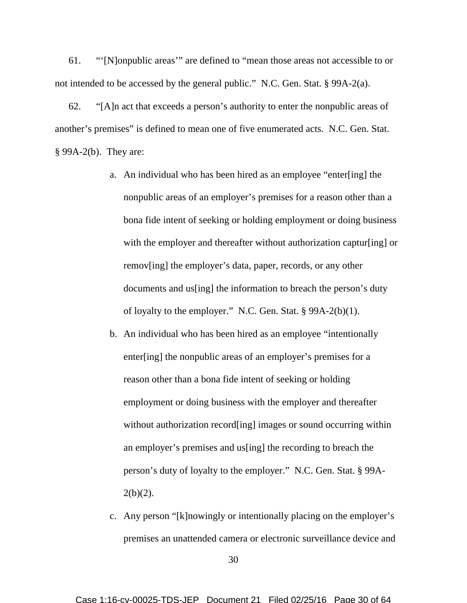61. "'[N]onpublic areas'" are defined to "mean those areas not accessible to or not intended to be accessed by the general public." N.C. Gen. Stat. § 99A-2(a).

62. "[A]n act that exceeds a person's authority to enter the nonpublic areas of another's premises" is defined to mean one of five enumerated acts. N.C. Gen. Stat. § 99A-2(b). They are:

- a. An individual who has been hired as an employee "enter[ing] the nonpublic areas of an employer's premises for a reason other than a bona fide intent of seeking or holding employment or doing business with the employer and thereafter without authorization captur [ing] or remov[ing] the employer's data, paper, records, or any other documents and us[ing] the information to breach the person's duty of loyalty to the employer." N.C. Gen. Stat. § 99A-2(b)(1).
- b. An individual who has been hired as an employee "intentionally enter[ing] the nonpublic areas of an employer's premises for a reason other than a bona fide intent of seeking or holding employment or doing business with the employer and thereafter without authorization record[ing] images or sound occurring within an employer's premises and us[ing] the recording to breach the person's duty of loyalty to the employer." N.C. Gen. Stat. § 99A- $2(b)(2)$ .
- c. Any person "[k]nowingly or intentionally placing on the employer's premises an unattended camera or electronic surveillance device and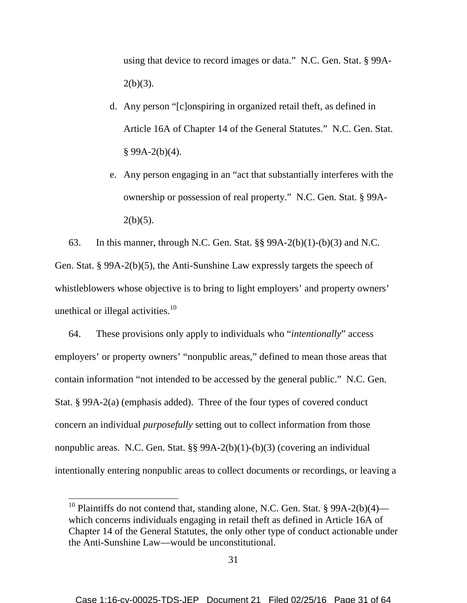using that device to record images or data." N.C. Gen. Stat. § 99A- $2(b)(3)$ .

- d. Any person "[c]onspiring in organized retail theft, as defined in Article 16A of Chapter 14 of the General Statutes." N.C. Gen. Stat.  $§ 99A-2(b)(4).$
- e. Any person engaging in an "act that substantially interferes with the ownership or possession of real property." N.C. Gen. Stat. § 99A- $2(b)(5)$ .

63. In this manner, through N.C. Gen. Stat.  $\S$ § 99A-2(b)(1)-(b)(3) and N.C. Gen. Stat. § 99A-2(b)(5), the Anti-Sunshine Law expressly targets the speech of whistleblowers whose objective is to bring to light employers' and property owners' unethical or illegal activities.<sup>10</sup>

64. These provisions only apply to individuals who "*intentionally*" access employers' or property owners' "nonpublic areas," defined to mean those areas that contain information "not intended to be accessed by the general public." N.C. Gen. Stat. § 99A-2(a) (emphasis added). Three of the four types of covered conduct concern an individual *purposefully* setting out to collect information from those nonpublic areas. N.C. Gen. Stat. §§ 99A-2(b)(1)-(b)(3) (covering an individual intentionally entering nonpublic areas to collect documents or recordings, or leaving a

<sup>&</sup>lt;sup>10</sup> Plaintiffs do not contend that, standing alone, N.C. Gen. Stat. § 99A-2(b)(4) which concerns individuals engaging in retail theft as defined in Article 16A of Chapter 14 of the General Statutes, the only other type of conduct actionable under the Anti-Sunshine Law—would be unconstitutional.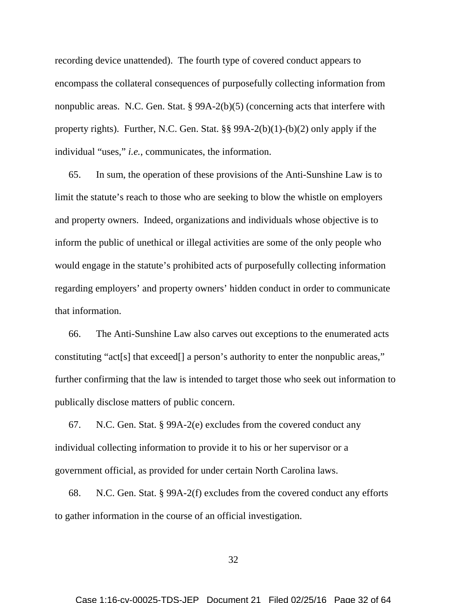recording device unattended). The fourth type of covered conduct appears to encompass the collateral consequences of purposefully collecting information from nonpublic areas. N.C. Gen. Stat. § 99A-2(b)(5) (concerning acts that interfere with property rights). Further, N.C. Gen. Stat. §§ 99A-2(b)(1)-(b)(2) only apply if the individual "uses," *i.e.*, communicates, the information.

65. In sum, the operation of these provisions of the Anti-Sunshine Law is to limit the statute's reach to those who are seeking to blow the whistle on employers and property owners. Indeed, organizations and individuals whose objective is to inform the public of unethical or illegal activities are some of the only people who would engage in the statute's prohibited acts of purposefully collecting information regarding employers' and property owners' hidden conduct in order to communicate that information.

66. The Anti-Sunshine Law also carves out exceptions to the enumerated acts constituting "act[s] that exceed[] a person's authority to enter the nonpublic areas," further confirming that the law is intended to target those who seek out information to publically disclose matters of public concern.

67. N.C. Gen. Stat. § 99A-2(e) excludes from the covered conduct any individual collecting information to provide it to his or her supervisor or a government official, as provided for under certain North Carolina laws.

68. N.C. Gen. Stat. § 99A-2(f) excludes from the covered conduct any efforts to gather information in the course of an official investigation.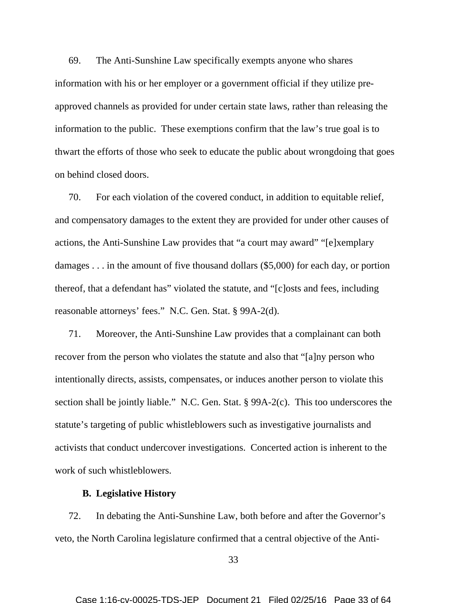69. The Anti-Sunshine Law specifically exempts anyone who shares information with his or her employer or a government official if they utilize preapproved channels as provided for under certain state laws, rather than releasing the information to the public. These exemptions confirm that the law's true goal is to thwart the efforts of those who seek to educate the public about wrongdoing that goes on behind closed doors.

70. For each violation of the covered conduct, in addition to equitable relief, and compensatory damages to the extent they are provided for under other causes of actions, the Anti-Sunshine Law provides that "a court may award" "[e]xemplary damages . . . in the amount of five thousand dollars (\$5,000) for each day, or portion thereof, that a defendant has" violated the statute, and "[c]osts and fees, including reasonable attorneys' fees." N.C. Gen. Stat. § 99A-2(d).

71. Moreover, the Anti-Sunshine Law provides that a complainant can both recover from the person who violates the statute and also that "[a]ny person who intentionally directs, assists, compensates, or induces another person to violate this section shall be jointly liable." N.C. Gen. Stat. § 99A-2(c). This too underscores the statute's targeting of public whistleblowers such as investigative journalists and activists that conduct undercover investigations. Concerted action is inherent to the work of such whistleblowers.

### **B. Legislative History**

72. In debating the Anti-Sunshine Law, both before and after the Governor's veto, the North Carolina legislature confirmed that a central objective of the Anti-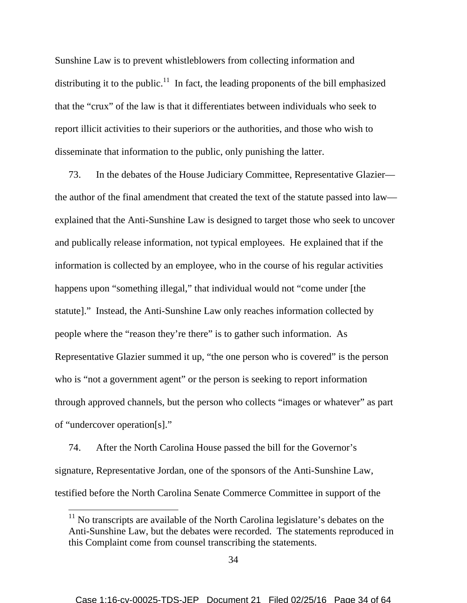Sunshine Law is to prevent whistleblowers from collecting information and distributing it to the public.<sup>11</sup> In fact, the leading proponents of the bill emphasized that the "crux" of the law is that it differentiates between individuals who seek to report illicit activities to their superiors or the authorities, and those who wish to disseminate that information to the public, only punishing the latter.

73. In the debates of the House Judiciary Committee, Representative Glazier the author of the final amendment that created the text of the statute passed into law explained that the Anti-Sunshine Law is designed to target those who seek to uncover and publically release information, not typical employees. He explained that if the information is collected by an employee, who in the course of his regular activities happens upon "something illegal," that individual would not "come under [the statute]." Instead, the Anti-Sunshine Law only reaches information collected by people where the "reason they're there" is to gather such information. As Representative Glazier summed it up, "the one person who is covered" is the person who is "not a government agent" or the person is seeking to report information through approved channels, but the person who collects "images or whatever" as part of "undercover operation[s]."

74. After the North Carolina House passed the bill for the Governor's signature, Representative Jordan, one of the sponsors of the Anti-Sunshine Law, testified before the North Carolina Senate Commerce Committee in support of the

<sup>&</sup>lt;sup>11</sup> No transcripts are available of the North Carolina legislature's debates on the Anti-Sunshine Law, but the debates were recorded. The statements reproduced in this Complaint come from counsel transcribing the statements.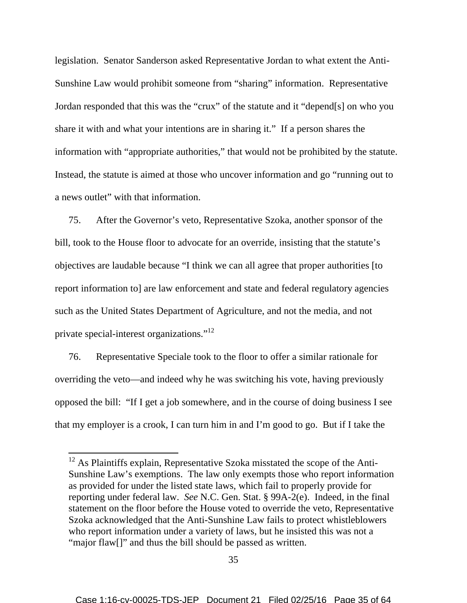legislation. Senator Sanderson asked Representative Jordan to what extent the Anti-Sunshine Law would prohibit someone from "sharing" information. Representative Jordan responded that this was the "crux" of the statute and it "depend[s] on who you share it with and what your intentions are in sharing it." If a person shares the information with "appropriate authorities," that would not be prohibited by the statute. Instead, the statute is aimed at those who uncover information and go "running out to a news outlet" with that information.

75. After the Governor's veto, Representative Szoka, another sponsor of the bill, took to the House floor to advocate for an override, insisting that the statute's objectives are laudable because "I think we can all agree that proper authorities [to report information to] are law enforcement and state and federal regulatory agencies such as the United States Department of Agriculture, and not the media, and not private special-interest organizations."<sup>12</sup>

76. Representative Speciale took to the floor to offer a similar rationale for overriding the veto—and indeed why he was switching his vote, having previously opposed the bill: "If I get a job somewhere, and in the course of doing business I see that my employer is a crook, I can turn him in and I'm good to go. But if I take the

 $12$  As Plaintiffs explain, Representative Szoka misstated the scope of the Anti-Sunshine Law's exemptions. The law only exempts those who report information as provided for under the listed state laws, which fail to properly provide for reporting under federal law. *See* N.C. Gen. Stat. § 99A-2(e). Indeed, in the final statement on the floor before the House voted to override the veto, Representative Szoka acknowledged that the Anti-Sunshine Law fails to protect whistleblowers who report information under a variety of laws, but he insisted this was not a "major flaw[]" and thus the bill should be passed as written.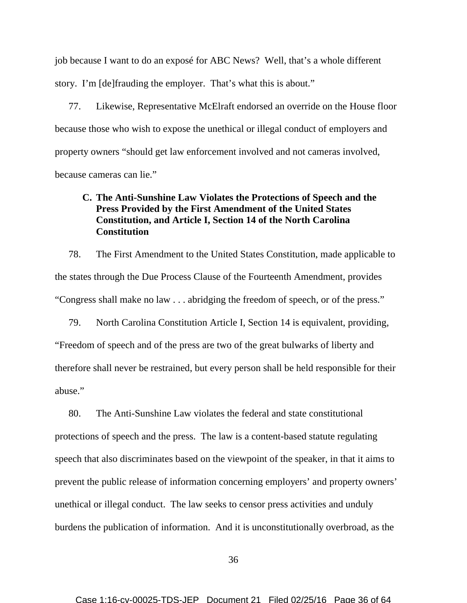job because I want to do an exposé for ABC News? Well, that's a whole different story. I'm [de]frauding the employer. That's what this is about."

77. Likewise, Representative McElraft endorsed an override on the House floor because those who wish to expose the unethical or illegal conduct of employers and property owners "should get law enforcement involved and not cameras involved, because cameras can lie."

## **C. The Anti-Sunshine Law Violates the Protections of Speech and the Press Provided by the First Amendment of the United States Constitution, and Article I, Section 14 of the North Carolina Constitution**

78. The First Amendment to the United States Constitution, made applicable to the states through the Due Process Clause of the Fourteenth Amendment, provides "Congress shall make no law . . . abridging the freedom of speech, or of the press."

79. North Carolina Constitution Article I, Section 14 is equivalent, providing, "Freedom of speech and of the press are two of the great bulwarks of liberty and therefore shall never be restrained, but every person shall be held responsible for their abuse."

80. The Anti-Sunshine Law violates the federal and state constitutional protections of speech and the press. The law is a content-based statute regulating speech that also discriminates based on the viewpoint of the speaker, in that it aims to prevent the public release of information concerning employers' and property owners' unethical or illegal conduct. The law seeks to censor press activities and unduly burdens the publication of information. And it is unconstitutionally overbroad, as the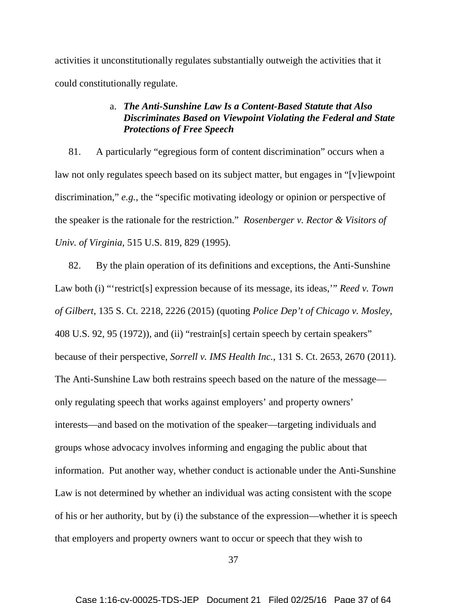activities it unconstitutionally regulates substantially outweigh the activities that it could constitutionally regulate.

## a. *The Anti-Sunshine Law Is a Content-Based Statute that Also Discriminates Based on Viewpoint Violating the Federal and State Protections of Free Speech*

81. A particularly "egregious form of content discrimination" occurs when a law not only regulates speech based on its subject matter, but engages in "[v]iewpoint discrimination," *e.g.*, the "specific motivating ideology or opinion or perspective of the speaker is the rationale for the restriction." *Rosenberger v. Rector & Visitors of Univ. of Virginia*, 515 U.S. 819, 829 (1995).

82. By the plain operation of its definitions and exceptions, the Anti-Sunshine Law both (i) "'restrict<sup>[s]</sup> expression because of its message, its ideas," *Reed v. Town of Gilbert*, 135 S. Ct. 2218, 2226 (2015) (quoting *Police Dep't of Chicago v. Mosley*, 408 U.S. 92, 95 (1972)), and (ii) "restrain[s] certain speech by certain speakers" because of their perspective, *Sorrell v. IMS Health Inc.*, 131 S. Ct. 2653, 2670 (2011). The Anti-Sunshine Law both restrains speech based on the nature of the message only regulating speech that works against employers' and property owners' interests—and based on the motivation of the speaker—targeting individuals and groups whose advocacy involves informing and engaging the public about that information. Put another way, whether conduct is actionable under the Anti-Sunshine Law is not determined by whether an individual was acting consistent with the scope of his or her authority, but by (i) the substance of the expression—whether it is speech that employers and property owners want to occur or speech that they wish to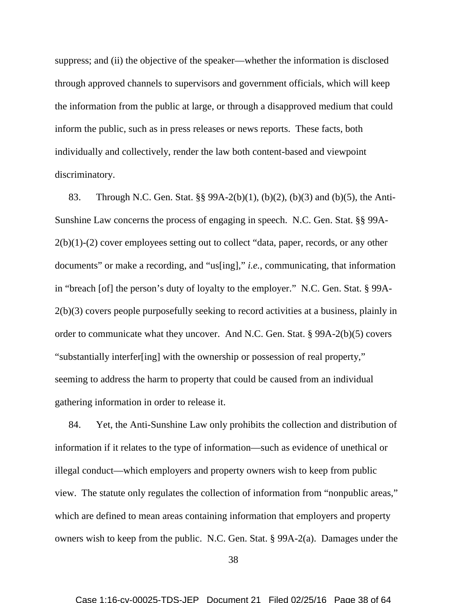suppress; and (ii) the objective of the speaker—whether the information is disclosed through approved channels to supervisors and government officials, which will keep the information from the public at large, or through a disapproved medium that could inform the public, such as in press releases or news reports. These facts, both individually and collectively, render the law both content-based and viewpoint discriminatory.

83. Through N.C. Gen. Stat. §§ 99A-2(b)(1), (b)(2), (b)(3) and (b)(5), the Anti-Sunshine Law concerns the process of engaging in speech. N.C. Gen. Stat. §§ 99A- $2(b)(1)-(2)$  cover employees setting out to collect "data, paper, records, or any other documents" or make a recording, and "us[ing]," *i.e.*, communicating, that information in "breach [of] the person's duty of loyalty to the employer." N.C. Gen. Stat. § 99A-2(b)(3) covers people purposefully seeking to record activities at a business, plainly in order to communicate what they uncover. And N.C. Gen. Stat. § 99A-2(b)(5) covers "substantially interfer[ing] with the ownership or possession of real property," seeming to address the harm to property that could be caused from an individual gathering information in order to release it.

84. Yet, the Anti-Sunshine Law only prohibits the collection and distribution of information if it relates to the type of information—such as evidence of unethical or illegal conduct—which employers and property owners wish to keep from public view. The statute only regulates the collection of information from "nonpublic areas," which are defined to mean areas containing information that employers and property owners wish to keep from the public. N.C. Gen. Stat. § 99A-2(a). Damages under the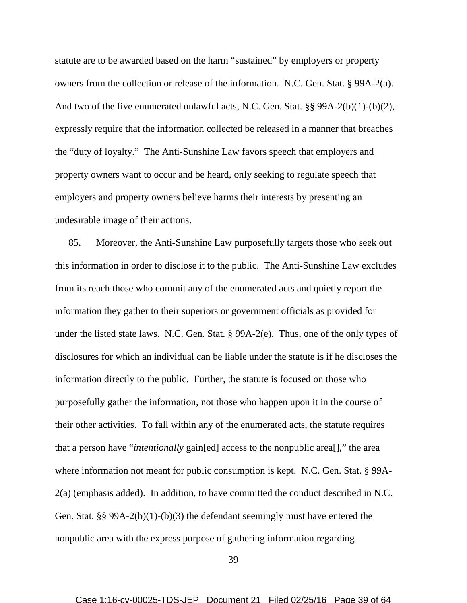statute are to be awarded based on the harm "sustained" by employers or property owners from the collection or release of the information. N.C. Gen. Stat. § 99A-2(a). And two of the five enumerated unlawful acts, N.C. Gen. Stat. §§ 99A-2(b)(1)-(b)(2), expressly require that the information collected be released in a manner that breaches the "duty of loyalty." The Anti-Sunshine Law favors speech that employers and property owners want to occur and be heard, only seeking to regulate speech that employers and property owners believe harms their interests by presenting an undesirable image of their actions.

85. Moreover, the Anti-Sunshine Law purposefully targets those who seek out this information in order to disclose it to the public. The Anti-Sunshine Law excludes from its reach those who commit any of the enumerated acts and quietly report the information they gather to their superiors or government officials as provided for under the listed state laws. N.C. Gen. Stat. § 99A-2(e). Thus, one of the only types of disclosures for which an individual can be liable under the statute is if he discloses the information directly to the public. Further, the statute is focused on those who purposefully gather the information, not those who happen upon it in the course of their other activities. To fall within any of the enumerated acts, the statute requires that a person have "*intentionally* gain[ed] access to the nonpublic area[]," the area where information not meant for public consumption is kept. N.C. Gen. Stat. § 99A-2(a) (emphasis added). In addition, to have committed the conduct described in N.C. Gen. Stat. §§ 99A-2(b)(1)-(b)(3) the defendant seemingly must have entered the nonpublic area with the express purpose of gathering information regarding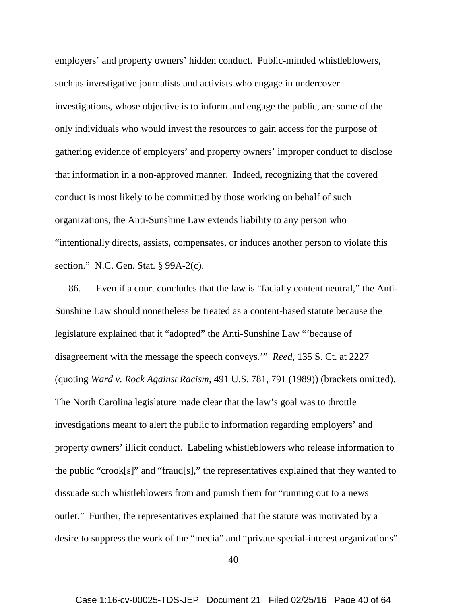employers' and property owners' hidden conduct. Public-minded whistleblowers, such as investigative journalists and activists who engage in undercover investigations, whose objective is to inform and engage the public, are some of the only individuals who would invest the resources to gain access for the purpose of gathering evidence of employers' and property owners' improper conduct to disclose that information in a non-approved manner. Indeed, recognizing that the covered conduct is most likely to be committed by those working on behalf of such organizations, the Anti-Sunshine Law extends liability to any person who "intentionally directs, assists, compensates, or induces another person to violate this section." N.C. Gen. Stat. § 99A-2(c).

86. Even if a court concludes that the law is "facially content neutral," the Anti-Sunshine Law should nonetheless be treated as a content-based statute because the legislature explained that it "adopted" the Anti-Sunshine Law "'because of disagreement with the message the speech conveys.'" *Reed*, 135 S. Ct. at 2227 (quoting *Ward v. Rock Against Racism*, 491 U.S. 781, 791 (1989)) (brackets omitted). The North Carolina legislature made clear that the law's goal was to throttle investigations meant to alert the public to information regarding employers' and property owners' illicit conduct. Labeling whistleblowers who release information to the public "crook[s]" and "fraud[s]," the representatives explained that they wanted to dissuade such whistleblowers from and punish them for "running out to a news outlet." Further, the representatives explained that the statute was motivated by a desire to suppress the work of the "media" and "private special-interest organizations"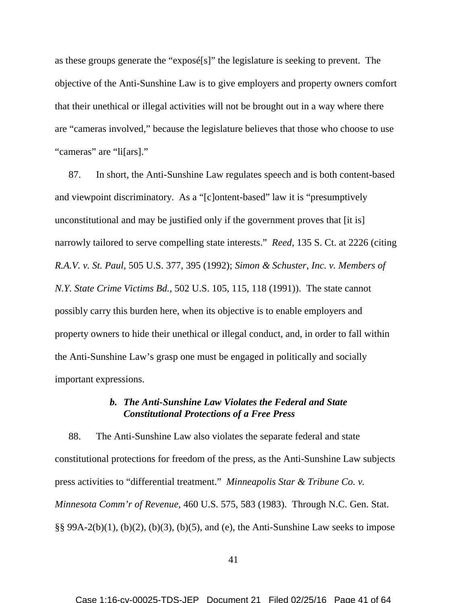as these groups generate the "exposé[s]" the legislature is seeking to prevent. The objective of the Anti-Sunshine Law is to give employers and property owners comfort that their unethical or illegal activities will not be brought out in a way where there are "cameras involved," because the legislature believes that those who choose to use "cameras" are "li[ars]."

87. In short, the Anti-Sunshine Law regulates speech and is both content-based and viewpoint discriminatory. As a "[c]ontent-based" law it is "presumptively unconstitutional and may be justified only if the government proves that [it is] narrowly tailored to serve compelling state interests." *Reed*, 135 S. Ct. at 2226 (citing *R.A.V. v. St. Paul*, 505 U.S. 377, 395 (1992); *Simon & Schuster, Inc. v. Members of N.Y. State Crime Victims Bd.*, 502 U.S. 105, 115, 118 (1991)). The state cannot possibly carry this burden here, when its objective is to enable employers and property owners to hide their unethical or illegal conduct, and, in order to fall within the Anti-Sunshine Law's grasp one must be engaged in politically and socially important expressions.

## *b. The Anti-Sunshine Law Violates the Federal and State Constitutional Protections of a Free Press*

88. The Anti-Sunshine Law also violates the separate federal and state constitutional protections for freedom of the press, as the Anti-Sunshine Law subjects press activities to "differential treatment." *Minneapolis Star & Tribune Co. v. Minnesota Comm'r of Revenue*, 460 U.S. 575, 583 (1983). Through N.C. Gen. Stat.  $\S § 99A-2(b)(1)$ ,  $(b)(2)$ ,  $(b)(3)$ ,  $(b)(5)$ , and (e), the Anti-Sunshine Law seeks to impose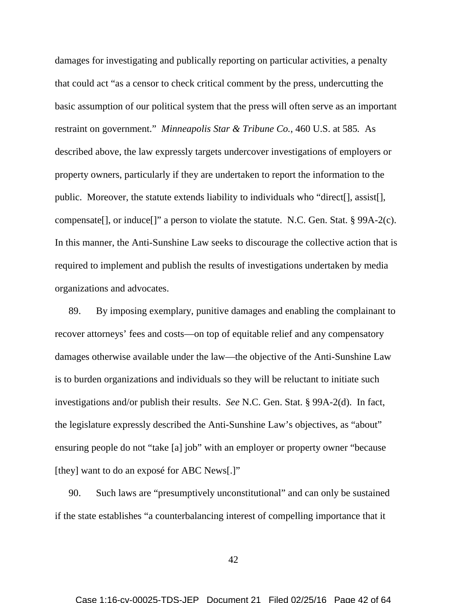damages for investigating and publically reporting on particular activities, a penalty that could act "as a censor to check critical comment by the press, undercutting the basic assumption of our political system that the press will often serve as an important restraint on government." *Minneapolis Star & Tribune Co.*, 460 U.S. at 585*.* As described above, the law expressly targets undercover investigations of employers or property owners, particularly if they are undertaken to report the information to the public. Moreover, the statute extends liability to individuals who "direct[], assist[], compensate[], or induce[]" a person to violate the statute. N.C. Gen. Stat. § 99A-2(c). In this manner, the Anti-Sunshine Law seeks to discourage the collective action that is required to implement and publish the results of investigations undertaken by media organizations and advocates.

89. By imposing exemplary, punitive damages and enabling the complainant to recover attorneys' fees and costs—on top of equitable relief and any compensatory damages otherwise available under the law—the objective of the Anti-Sunshine Law is to burden organizations and individuals so they will be reluctant to initiate such investigations and/or publish their results. *See* N.C. Gen. Stat. § 99A-2(d). In fact, the legislature expressly described the Anti-Sunshine Law's objectives, as "about" ensuring people do not "take [a] job" with an employer or property owner "because [they] want to do an exposé for ABC News[.]"

90. Such laws are "presumptively unconstitutional" and can only be sustained if the state establishes "a counterbalancing interest of compelling importance that it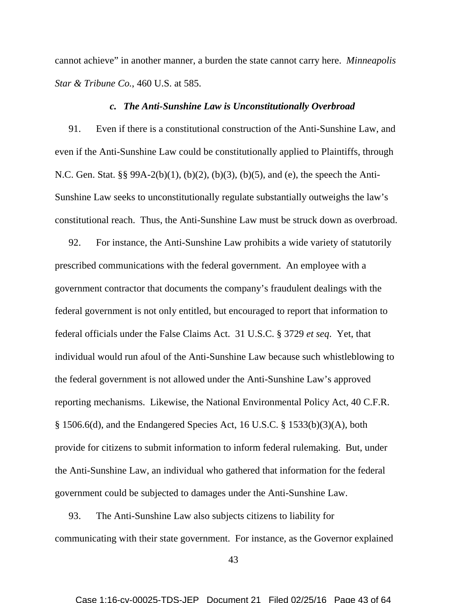cannot achieve" in another manner, a burden the state cannot carry here. *Minneapolis Star & Tribune Co.*, 460 U.S. at 585.

#### *c. The Anti-Sunshine Law is Unconstitutionally Overbroad*

91. Even if there is a constitutional construction of the Anti-Sunshine Law, and even if the Anti-Sunshine Law could be constitutionally applied to Plaintiffs, through N.C. Gen. Stat. §§ 99A-2(b)(1), (b)(2), (b)(3), (b)(5), and (e), the speech the Anti-Sunshine Law seeks to unconstitutionally regulate substantially outweighs the law's constitutional reach. Thus, the Anti-Sunshine Law must be struck down as overbroad.

92. For instance, the Anti-Sunshine Law prohibits a wide variety of statutorily prescribed communications with the federal government. An employee with a government contractor that documents the company's fraudulent dealings with the federal government is not only entitled, but encouraged to report that information to federal officials under the False Claims Act. 31 U.S.C. § 3729 *et seq*. Yet, that individual would run afoul of the Anti-Sunshine Law because such whistleblowing to the federal government is not allowed under the Anti-Sunshine Law's approved reporting mechanisms. Likewise, the National Environmental Policy Act, 40 C.F.R. § 1506.6(d), and the Endangered Species Act, 16 U.S.C. § 1533(b)(3)(A), both provide for citizens to submit information to inform federal rulemaking. But, under the Anti-Sunshine Law, an individual who gathered that information for the federal government could be subjected to damages under the Anti-Sunshine Law.

93. The Anti-Sunshine Law also subjects citizens to liability for communicating with their state government. For instance, as the Governor explained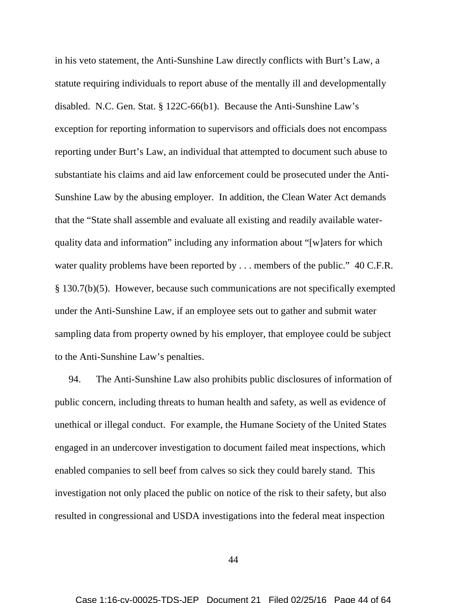in his veto statement, the Anti-Sunshine Law directly conflicts with Burt's Law, a statute requiring individuals to report abuse of the mentally ill and developmentally disabled. N.C. Gen. Stat. § 122C-66(b1). Because the Anti-Sunshine Law's exception for reporting information to supervisors and officials does not encompass reporting under Burt's Law, an individual that attempted to document such abuse to substantiate his claims and aid law enforcement could be prosecuted under the Anti-Sunshine Law by the abusing employer. In addition, the Clean Water Act demands that the "State shall assemble and evaluate all existing and readily available waterquality data and information" including any information about "[w]aters for which water quality problems have been reported by . . . members of the public." 40 C.F.R. § 130.7(b)(5). However, because such communications are not specifically exempted under the Anti-Sunshine Law, if an employee sets out to gather and submit water sampling data from property owned by his employer, that employee could be subject to the Anti-Sunshine Law's penalties.

94. The Anti-Sunshine Law also prohibits public disclosures of information of public concern, including threats to human health and safety, as well as evidence of unethical or illegal conduct. For example, the Humane Society of the United States engaged in an undercover investigation to document failed meat inspections, which enabled companies to sell beef from calves so sick they could barely stand. This investigation not only placed the public on notice of the risk to their safety, but also resulted in congressional and USDA investigations into the federal meat inspection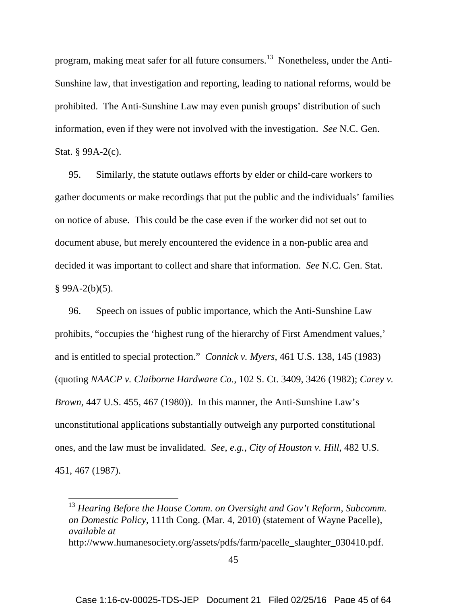program, making meat safer for all future consumers.<sup>13</sup> Nonetheless, under the Anti-Sunshine law, that investigation and reporting, leading to national reforms, would be prohibited. The Anti-Sunshine Law may even punish groups' distribution of such information, even if they were not involved with the investigation. *See* N.C. Gen. Stat. § 99A-2(c).

95. Similarly, the statute outlaws efforts by elder or child-care workers to gather documents or make recordings that put the public and the individuals' families on notice of abuse. This could be the case even if the worker did not set out to document abuse, but merely encountered the evidence in a non-public area and decided it was important to collect and share that information. *See* N.C. Gen. Stat.  $§$  99A-2(b)(5).

96. Speech on issues of public importance, which the Anti-Sunshine Law prohibits, "occupies the 'highest rung of the hierarchy of First Amendment values,' and is entitled to special protection." *Connick v. Myers*, 461 U.S. 138, 145 (1983) (quoting *NAACP v. Claiborne Hardware Co.*, 102 S. Ct. 3409, 3426 (1982); *Carey v. Brown*, 447 U.S. 455, 467 (1980)). In this manner, the Anti-Sunshine Law's unconstitutional applications substantially outweigh any purported constitutional ones, and the law must be invalidated. *See*, *e.g.*, *City of Houston v. Hill*, 482 U.S. 451, 467 (1987).

<sup>&</sup>lt;sup>13</sup> Hearing Before the House Comm. on Oversight and Gov't Reform, Subcomm. *on Domestic Policy*, 111th Cong. (Mar. 4, 2010) (statement of Wayne Pacelle), *available at* http://www.humanesociety.org/assets/pdfs/farm/pacelle\_slaughter\_030410.pdf.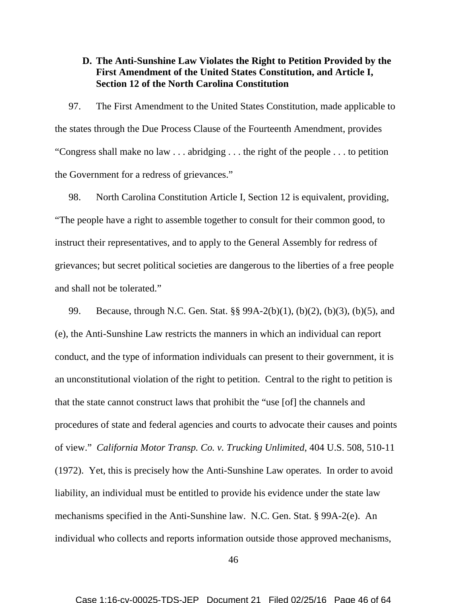## **D. The Anti-Sunshine Law Violates the Right to Petition Provided by the First Amendment of the United States Constitution, and Article I, Section 12 of the North Carolina Constitution**

97. The First Amendment to the United States Constitution, made applicable to the states through the Due Process Clause of the Fourteenth Amendment, provides "Congress shall make no law . . . abridging . . . the right of the people . . . to petition the Government for a redress of grievances."

98. North Carolina Constitution Article I, Section 12 is equivalent, providing, "The people have a right to assemble together to consult for their common good, to instruct their representatives, and to apply to the General Assembly for redress of grievances; but secret political societies are dangerous to the liberties of a free people and shall not be tolerated."

99. Because, through N.C. Gen. Stat. §§ 99A-2(b)(1), (b)(2), (b)(3), (b)(5), and (e), the Anti-Sunshine Law restricts the manners in which an individual can report conduct, and the type of information individuals can present to their government, it is an unconstitutional violation of the right to petition. Central to the right to petition is that the state cannot construct laws that prohibit the "use [of] the channels and procedures of state and federal agencies and courts to advocate their causes and points of view." *California Motor Transp. Co. v. Trucking Unlimited*, 404 U.S. 508, 510-11 (1972). Yet, this is precisely how the Anti-Sunshine Law operates. In order to avoid liability, an individual must be entitled to provide his evidence under the state law mechanisms specified in the Anti-Sunshine law. N.C. Gen. Stat. § 99A-2(e). An individual who collects and reports information outside those approved mechanisms,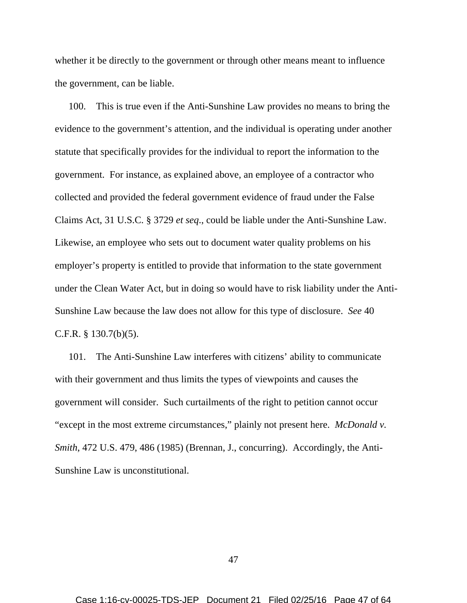whether it be directly to the government or through other means meant to influence the government, can be liable.

100. This is true even if the Anti-Sunshine Law provides no means to bring the evidence to the government's attention, and the individual is operating under another statute that specifically provides for the individual to report the information to the government. For instance, as explained above, an employee of a contractor who collected and provided the federal government evidence of fraud under the False Claims Act, 31 U.S.C. § 3729 *et seq*., could be liable under the Anti-Sunshine Law. Likewise, an employee who sets out to document water quality problems on his employer's property is entitled to provide that information to the state government under the Clean Water Act, but in doing so would have to risk liability under the Anti-Sunshine Law because the law does not allow for this type of disclosure. *See* 40 C.F.R. § 130.7(b)(5).

101. The Anti-Sunshine Law interferes with citizens' ability to communicate with their government and thus limits the types of viewpoints and causes the government will consider. Such curtailments of the right to petition cannot occur "except in the most extreme circumstances," plainly not present here. *McDonald v. Smith*, 472 U.S. 479, 486 (1985) (Brennan, J., concurring). Accordingly, the Anti-Sunshine Law is unconstitutional.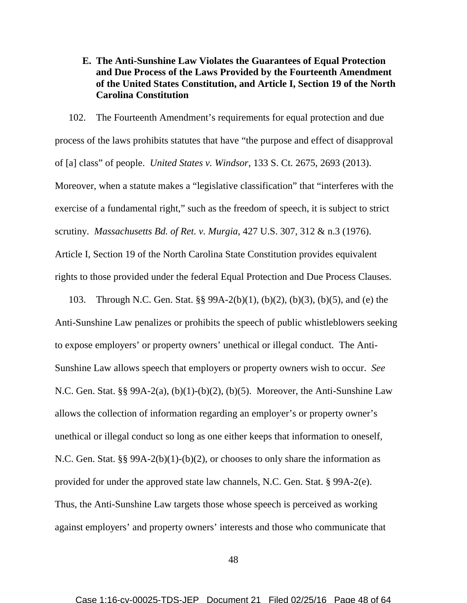**E. The Anti-Sunshine Law Violates the Guarantees of Equal Protection and Due Process of the Laws Provided by the Fourteenth Amendment of the United States Constitution, and Article I, Section 19 of the North Carolina Constitution**

102. The Fourteenth Amendment's requirements for equal protection and due process of the laws prohibits statutes that have "the purpose and effect of disapproval of [a] class" of people. *United States v. Windsor*, 133 S. Ct. 2675, 2693 (2013). Moreover, when a statute makes a "legislative classification" that "interferes with the exercise of a fundamental right," such as the freedom of speech, it is subject to strict scrutiny. *Massachusetts Bd. of Ret. v. Murgia*, 427 U.S. 307, 312 & n.3 (1976). Article I, Section 19 of the North Carolina State Constitution provides equivalent rights to those provided under the federal Equal Protection and Due Process Clauses.

103. Through N.C. Gen. Stat. §§ 99A-2(b)(1), (b)(2), (b)(3), (b)(5), and (e) the Anti-Sunshine Law penalizes or prohibits the speech of public whistleblowers seeking to expose employers' or property owners' unethical or illegal conduct. The Anti-Sunshine Law allows speech that employers or property owners wish to occur. *See*  N.C. Gen. Stat. §§ 99A-2(a), (b)(1)-(b)(2), (b)(5). Moreover, the Anti-Sunshine Law allows the collection of information regarding an employer's or property owner's unethical or illegal conduct so long as one either keeps that information to oneself, N.C. Gen. Stat. §§ 99A-2(b)(1)-(b)(2), or chooses to only share the information as provided for under the approved state law channels, N.C. Gen. Stat. § 99A-2(e). Thus, the Anti-Sunshine Law targets those whose speech is perceived as working against employers' and property owners' interests and those who communicate that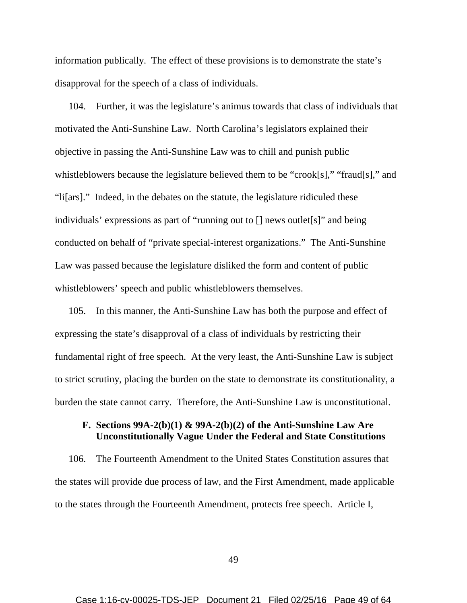information publically. The effect of these provisions is to demonstrate the state's disapproval for the speech of a class of individuals.

104. Further, it was the legislature's animus towards that class of individuals that motivated the Anti-Sunshine Law. North Carolina's legislators explained their objective in passing the Anti-Sunshine Law was to chill and punish public whistleblowers because the legislature believed them to be "crook[s]," "fraud[s]," and "li[ars]." Indeed, in the debates on the statute, the legislature ridiculed these individuals' expressions as part of "running out to [] news outlet[s]" and being conducted on behalf of "private special-interest organizations." The Anti-Sunshine Law was passed because the legislature disliked the form and content of public whistleblowers' speech and public whistleblowers themselves.

105. In this manner, the Anti-Sunshine Law has both the purpose and effect of expressing the state's disapproval of a class of individuals by restricting their fundamental right of free speech. At the very least, the Anti-Sunshine Law is subject to strict scrutiny, placing the burden on the state to demonstrate its constitutionality, a burden the state cannot carry. Therefore, the Anti-Sunshine Law is unconstitutional.

## **F. Sections 99A-2(b)(1) & 99A-2(b)(2) of the Anti-Sunshine Law Are Unconstitutionally Vague Under the Federal and State Constitutions**

106. The Fourteenth Amendment to the United States Constitution assures that the states will provide due process of law, and the First Amendment, made applicable to the states through the Fourteenth Amendment, protects free speech. Article I,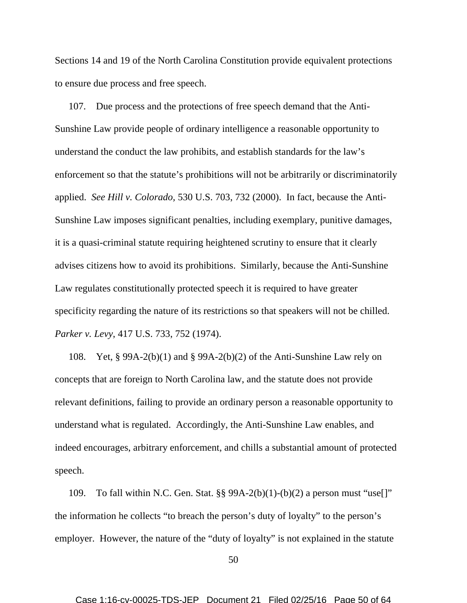Sections 14 and 19 of the North Carolina Constitution provide equivalent protections to ensure due process and free speech.

107. Due process and the protections of free speech demand that the Anti-Sunshine Law provide people of ordinary intelligence a reasonable opportunity to understand the conduct the law prohibits, and establish standards for the law's enforcement so that the statute's prohibitions will not be arbitrarily or discriminatorily applied. *See Hill v. Colorado,* 530 U.S. 703, 732 (2000). In fact, because the Anti-Sunshine Law imposes significant penalties, including exemplary, punitive damages, it is a quasi-criminal statute requiring heightened scrutiny to ensure that it clearly advises citizens how to avoid its prohibitions. Similarly, because the Anti-Sunshine Law regulates constitutionally protected speech it is required to have greater specificity regarding the nature of its restrictions so that speakers will not be chilled. *Parker v. Levy*, 417 U.S. 733, 752 (1974).

108. Yet, § 99A-2(b)(1) and § 99A-2(b)(2) of the Anti-Sunshine Law rely on concepts that are foreign to North Carolina law, and the statute does not provide relevant definitions, failing to provide an ordinary person a reasonable opportunity to understand what is regulated. Accordingly, the Anti-Sunshine Law enables, and indeed encourages, arbitrary enforcement, and chills a substantial amount of protected speech.

109. To fall within N.C. Gen. Stat.  $\S$ § 99A-2(b)(1)-(b)(2) a person must "use[]" the information he collects "to breach the person's duty of loyalty" to the person's employer. However, the nature of the "duty of loyalty" is not explained in the statute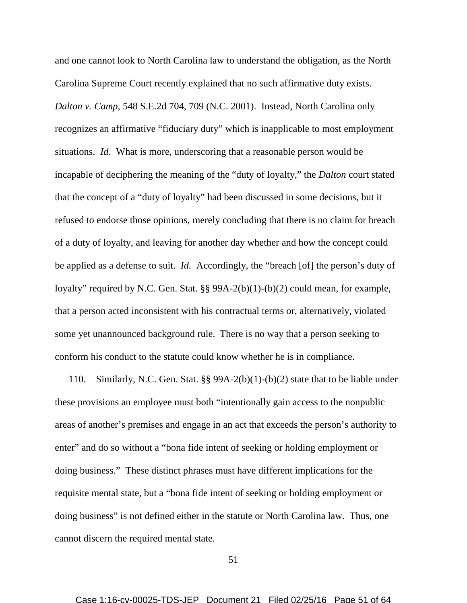and one cannot look to North Carolina law to understand the obligation, as the North Carolina Supreme Court recently explained that no such affirmative duty exists. *Dalton v. Camp*, 548 S.E.2d 704, 709 (N.C. 2001). Instead, North Carolina only recognizes an affirmative "fiduciary duty" which is inapplicable to most employment situations. *Id*. What is more, underscoring that a reasonable person would be incapable of deciphering the meaning of the "duty of loyalty," the *Dalton* court stated that the concept of a "duty of loyalty" had been discussed in some decisions, but it refused to endorse those opinions, merely concluding that there is no claim for breach of a duty of loyalty, and leaving for another day whether and how the concept could be applied as a defense to suit. *Id.* Accordingly, the "breach [of] the person's duty of loyalty" required by N.C. Gen. Stat. §§ 99A-2(b)(1)-(b)(2) could mean, for example, that a person acted inconsistent with his contractual terms or, alternatively, violated some yet unannounced background rule. There is no way that a person seeking to conform his conduct to the statute could know whether he is in compliance.

110. Similarly, N.C. Gen. Stat. §§ 99A-2(b)(1)-(b)(2) state that to be liable under these provisions an employee must both "intentionally gain access to the nonpublic areas of another's premises and engage in an act that exceeds the person's authority to enter" and do so without a "bona fide intent of seeking or holding employment or doing business." These distinct phrases must have different implications for the requisite mental state, but a "bona fide intent of seeking or holding employment or doing business" is not defined either in the statute or North Carolina law. Thus, one cannot discern the required mental state.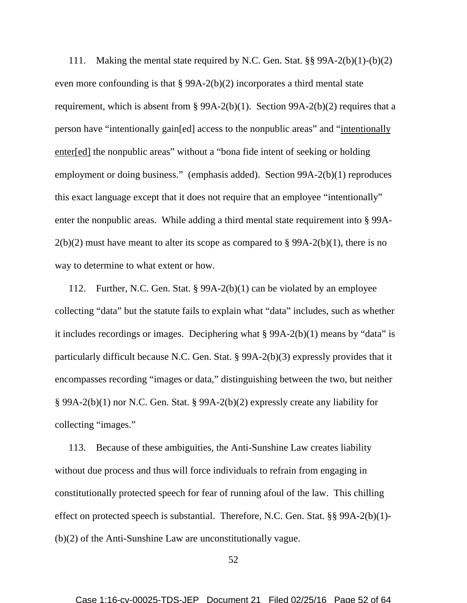111. Making the mental state required by N.C. Gen. Stat. §§ 99A-2(b)(1)-(b)(2) even more confounding is that § 99A-2(b)(2) incorporates a third mental state requirement, which is absent from § 99A-2(b)(1). Section 99A-2(b)(2) requires that a person have "intentionally gain[ed] access to the nonpublic areas" and "intentionally enter[ed] the nonpublic areas" without a "bona fide intent of seeking or holding employment or doing business." (emphasis added). Section 99A-2(b)(1) reproduces this exact language except that it does not require that an employee "intentionally" enter the nonpublic areas. While adding a third mental state requirement into § 99A- $2(b)(2)$  must have meant to alter its scope as compared to § 99A-2(b)(1), there is no way to determine to what extent or how.

112. Further, N.C. Gen. Stat. § 99A-2(b)(1) can be violated by an employee collecting "data" but the statute fails to explain what "data" includes, such as whether it includes recordings or images. Deciphering what § 99A-2(b)(1) means by "data" is particularly difficult because N.C. Gen. Stat. § 99A-2(b)(3) expressly provides that it encompasses recording "images or data," distinguishing between the two, but neither § 99A-2(b)(1) nor N.C. Gen. Stat. § 99A-2(b)(2) expressly create any liability for collecting "images."

113. Because of these ambiguities, the Anti-Sunshine Law creates liability without due process and thus will force individuals to refrain from engaging in constitutionally protected speech for fear of running afoul of the law. This chilling effect on protected speech is substantial. Therefore, N.C. Gen. Stat. §§ 99A-2(b)(1)- (b)(2) of the Anti-Sunshine Law are unconstitutionally vague.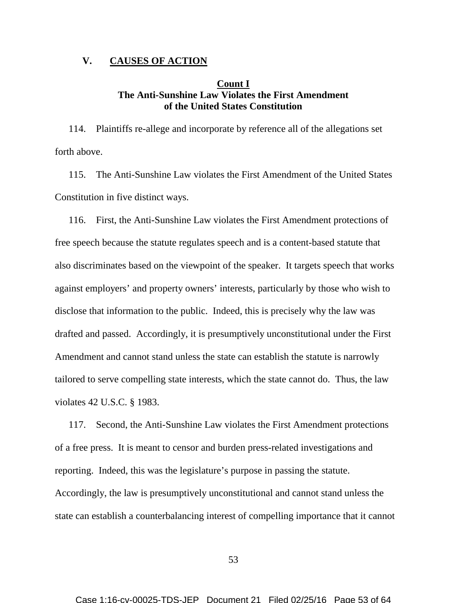### **V. CAUSES OF ACTION**

### **Count I The Anti-Sunshine Law Violates the First Amendment of the United States Constitution**

114. Plaintiffs re-allege and incorporate by reference all of the allegations set forth above.

115. The Anti-Sunshine Law violates the First Amendment of the United States Constitution in five distinct ways.

116. First, the Anti-Sunshine Law violates the First Amendment protections of free speech because the statute regulates speech and is a content-based statute that also discriminates based on the viewpoint of the speaker. It targets speech that works against employers' and property owners' interests, particularly by those who wish to disclose that information to the public. Indeed, this is precisely why the law was drafted and passed. Accordingly, it is presumptively unconstitutional under the First Amendment and cannot stand unless the state can establish the statute is narrowly tailored to serve compelling state interests, which the state cannot do. Thus, the law violates 42 U.S.C. § 1983.

117. Second, the Anti-Sunshine Law violates the First Amendment protections of a free press. It is meant to censor and burden press-related investigations and reporting. Indeed, this was the legislature's purpose in passing the statute. Accordingly, the law is presumptively unconstitutional and cannot stand unless the state can establish a counterbalancing interest of compelling importance that it cannot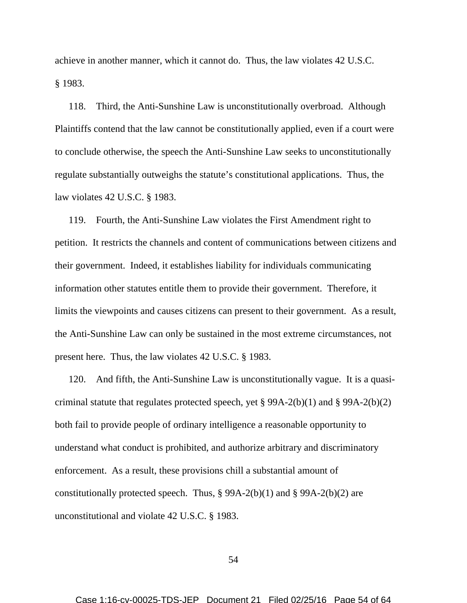achieve in another manner, which it cannot do. Thus, the law violates 42 U.S.C. § 1983.

118. Third, the Anti-Sunshine Law is unconstitutionally overbroad. Although Plaintiffs contend that the law cannot be constitutionally applied, even if a court were to conclude otherwise, the speech the Anti-Sunshine Law seeks to unconstitutionally regulate substantially outweighs the statute's constitutional applications. Thus, the law violates 42 U.S.C. § 1983.

119. Fourth, the Anti-Sunshine Law violates the First Amendment right to petition. It restricts the channels and content of communications between citizens and their government. Indeed, it establishes liability for individuals communicating information other statutes entitle them to provide their government. Therefore, it limits the viewpoints and causes citizens can present to their government. As a result, the Anti-Sunshine Law can only be sustained in the most extreme circumstances, not present here. Thus, the law violates 42 U.S.C. § 1983.

120. And fifth, the Anti-Sunshine Law is unconstitutionally vague. It is a quasicriminal statute that regulates protected speech, yet § 99A-2(b)(1) and § 99A-2(b)(2) both fail to provide people of ordinary intelligence a reasonable opportunity to understand what conduct is prohibited, and authorize arbitrary and discriminatory enforcement. As a result, these provisions chill a substantial amount of constitutionally protected speech. Thus,  $\S 99A-2(b)(1)$  and  $\S 99A-2(b)(2)$  are unconstitutional and violate 42 U.S.C. § 1983.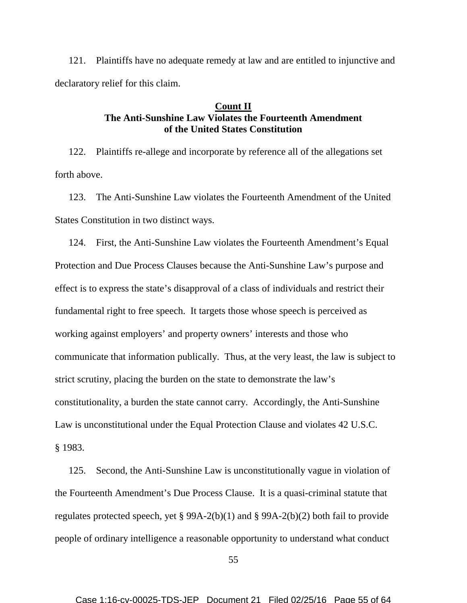121. Plaintiffs have no adequate remedy at law and are entitled to injunctive and declaratory relief for this claim.

### **Count II The Anti-Sunshine Law Violates the Fourteenth Amendment of the United States Constitution**

122. Plaintiffs re-allege and incorporate by reference all of the allegations set forth above.

123. The Anti-Sunshine Law violates the Fourteenth Amendment of the United States Constitution in two distinct ways.

124. First, the Anti-Sunshine Law violates the Fourteenth Amendment's Equal Protection and Due Process Clauses because the Anti-Sunshine Law's purpose and effect is to express the state's disapproval of a class of individuals and restrict their fundamental right to free speech. It targets those whose speech is perceived as working against employers' and property owners' interests and those who communicate that information publically. Thus, at the very least, the law is subject to strict scrutiny, placing the burden on the state to demonstrate the law's constitutionality, a burden the state cannot carry. Accordingly, the Anti-Sunshine Law is unconstitutional under the Equal Protection Clause and violates 42 U.S.C. § 1983.

125. Second, the Anti-Sunshine Law is unconstitutionally vague in violation of the Fourteenth Amendment's Due Process Clause. It is a quasi-criminal statute that regulates protected speech, yet § 99A-2(b)(1) and § 99A-2(b)(2) both fail to provide people of ordinary intelligence a reasonable opportunity to understand what conduct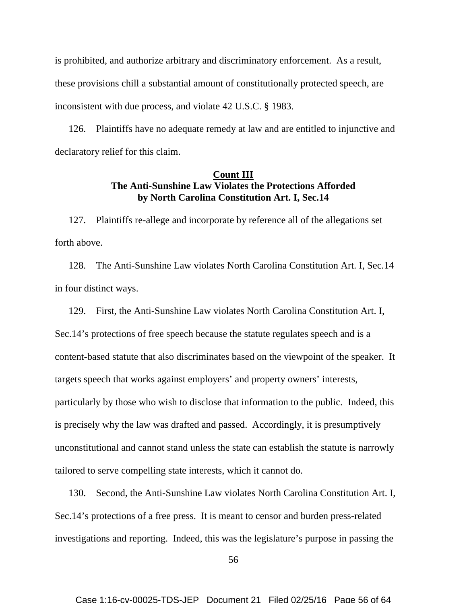is prohibited, and authorize arbitrary and discriminatory enforcement. As a result, these provisions chill a substantial amount of constitutionally protected speech, are inconsistent with due process, and violate 42 U.S.C. § 1983.

126. Plaintiffs have no adequate remedy at law and are entitled to injunctive and declaratory relief for this claim.

### **Count III The Anti-Sunshine Law Violates the Protections Afforded by North Carolina Constitution Art. I, Sec.14**

127. Plaintiffs re-allege and incorporate by reference all of the allegations set forth above.

128. The Anti-Sunshine Law violates North Carolina Constitution Art. I, Sec.14 in four distinct ways.

129. First, the Anti-Sunshine Law violates North Carolina Constitution Art. I, Sec.14's protections of free speech because the statute regulates speech and is a content-based statute that also discriminates based on the viewpoint of the speaker. It targets speech that works against employers' and property owners' interests, particularly by those who wish to disclose that information to the public. Indeed, this is precisely why the law was drafted and passed. Accordingly, it is presumptively unconstitutional and cannot stand unless the state can establish the statute is narrowly tailored to serve compelling state interests, which it cannot do.

130. Second, the Anti-Sunshine Law violates North Carolina Constitution Art. I, Sec.14's protections of a free press. It is meant to censor and burden press-related investigations and reporting. Indeed, this was the legislature's purpose in passing the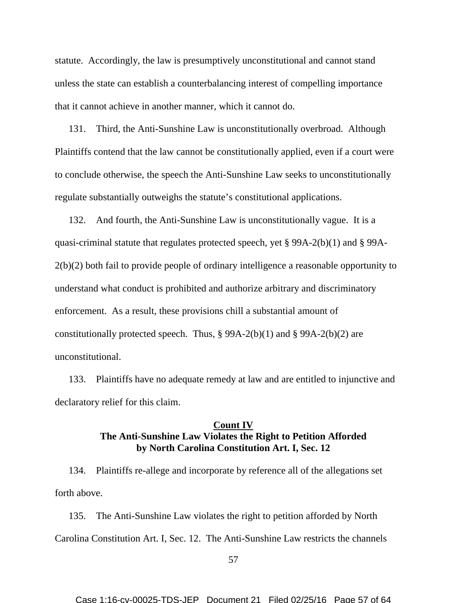statute. Accordingly, the law is presumptively unconstitutional and cannot stand unless the state can establish a counterbalancing interest of compelling importance that it cannot achieve in another manner, which it cannot do.

131. Third, the Anti-Sunshine Law is unconstitutionally overbroad. Although Plaintiffs contend that the law cannot be constitutionally applied, even if a court were to conclude otherwise, the speech the Anti-Sunshine Law seeks to unconstitutionally regulate substantially outweighs the statute's constitutional applications.

132. And fourth, the Anti-Sunshine Law is unconstitutionally vague. It is a quasi-criminal statute that regulates protected speech, yet § 99A-2(b)(1) and § 99A-2(b)(2) both fail to provide people of ordinary intelligence a reasonable opportunity to understand what conduct is prohibited and authorize arbitrary and discriminatory enforcement. As a result, these provisions chill a substantial amount of constitutionally protected speech. Thus,  $\S 99A-2(b)(1)$  and  $\S 99A-2(b)(2)$  are unconstitutional.

133. Plaintiffs have no adequate remedy at law and are entitled to injunctive and declaratory relief for this claim.

## **Count IV The Anti-Sunshine Law Violates the Right to Petition Afforded by North Carolina Constitution Art. I, Sec. 12**

134. Plaintiffs re-allege and incorporate by reference all of the allegations set forth above.

135. The Anti-Sunshine Law violates the right to petition afforded by North Carolina Constitution Art. I, Sec. 12. The Anti-Sunshine Law restricts the channels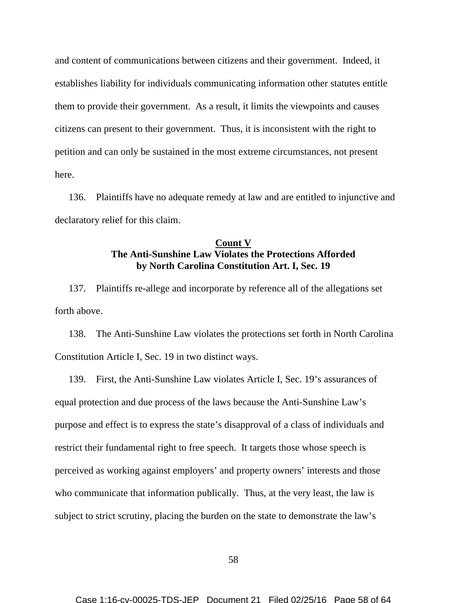and content of communications between citizens and their government. Indeed, it establishes liability for individuals communicating information other statutes entitle them to provide their government. As a result, it limits the viewpoints and causes citizens can present to their government. Thus, it is inconsistent with the right to petition and can only be sustained in the most extreme circumstances, not present here.

136. Plaintiffs have no adequate remedy at law and are entitled to injunctive and declaratory relief for this claim.

# **Count V The Anti-Sunshine Law Violates the Protections Afforded by North Carolina Constitution Art. I, Sec. 19**

137. Plaintiffs re-allege and incorporate by reference all of the allegations set forth above.

138. The Anti-Sunshine Law violates the protections set forth in North Carolina Constitution Article I, Sec. 19 in two distinct ways.

139. First, the Anti-Sunshine Law violates Article I, Sec. 19's assurances of equal protection and due process of the laws because the Anti-Sunshine Law's purpose and effect is to express the state's disapproval of a class of individuals and restrict their fundamental right to free speech. It targets those whose speech is perceived as working against employers' and property owners' interests and those who communicate that information publically. Thus, at the very least, the law is subject to strict scrutiny, placing the burden on the state to demonstrate the law's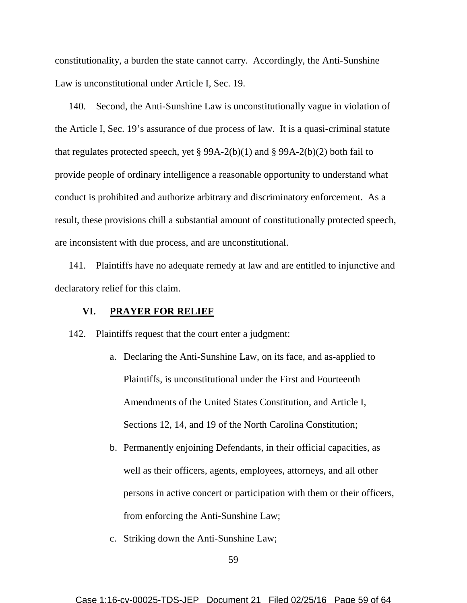constitutionality, a burden the state cannot carry. Accordingly, the Anti-Sunshine Law is unconstitutional under Article I, Sec. 19.

140. Second, the Anti-Sunshine Law is unconstitutionally vague in violation of the Article I, Sec. 19's assurance of due process of law. It is a quasi-criminal statute that regulates protected speech, yet § 99A-2(b)(1) and § 99A-2(b)(2) both fail to provide people of ordinary intelligence a reasonable opportunity to understand what conduct is prohibited and authorize arbitrary and discriminatory enforcement. As a result, these provisions chill a substantial amount of constitutionally protected speech, are inconsistent with due process, and are unconstitutional.

141. Plaintiffs have no adequate remedy at law and are entitled to injunctive and declaratory relief for this claim.

### **VI. PRAYER FOR RELIEF**

142. Plaintiffs request that the court enter a judgment:

- a. Declaring the Anti-Sunshine Law, on its face, and as-applied to Plaintiffs, is unconstitutional under the First and Fourteenth Amendments of the United States Constitution, and Article I, Sections 12, 14, and 19 of the North Carolina Constitution;
- b. Permanently enjoining Defendants, in their official capacities, as well as their officers, agents, employees, attorneys, and all other persons in active concert or participation with them or their officers, from enforcing the Anti-Sunshine Law;
- c. Striking down the Anti-Sunshine Law;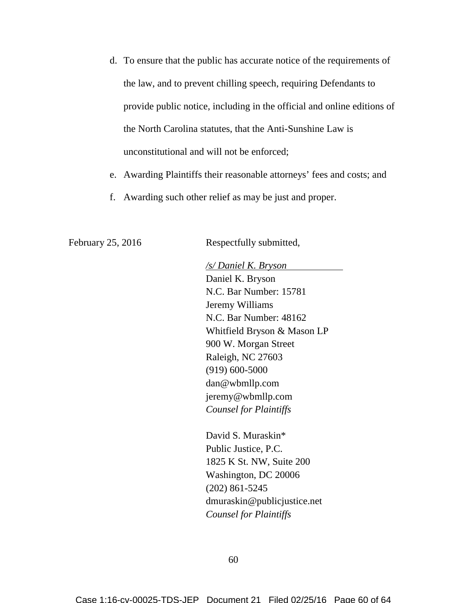- d. To ensure that the public has accurate notice of the requirements of the law, and to prevent chilling speech, requiring Defendants to provide public notice, including in the official and online editions of the North Carolina statutes, that the Anti-Sunshine Law is unconstitutional and will not be enforced;
- e. Awarding Plaintiffs their reasonable attorneys' fees and costs; and
- f. Awarding such other relief as may be just and proper.

February 25, 2016 Respectfully submitted,

*/s/ Daniel K. Bryson* Daniel K. Bryson N.C. Bar Number: 15781 Jeremy Williams N.C. Bar Number: 48162 Whitfield Bryson & Mason LP 900 W. Morgan Street Raleigh, NC 27603 (919) 600-5000 dan@wbmllp.com jeremy@wbmllp.com *Counsel for Plaintiffs*

David S. Muraskin\* Public Justice, P.C. 1825 K St. NW, Suite 200 Washington, DC 20006 (202) 861-5245 dmuraskin@publicjustice.net *Counsel for Plaintiffs*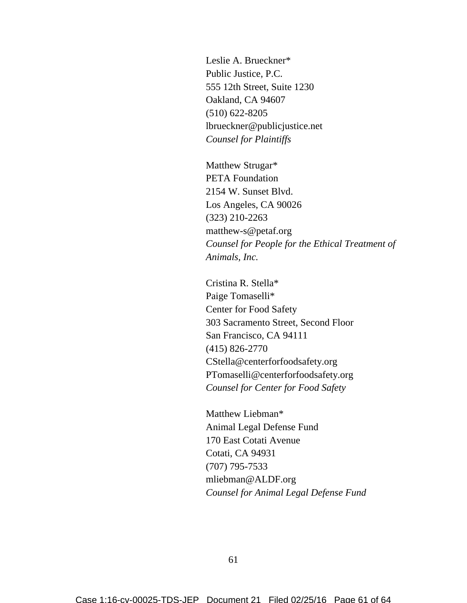Leslie A. Brueckner\* Public Justice, P.C. 555 12th Street, Suite 1230 Oakland, CA 94607 (510) 622-8205 lbrueckner@publicjustice.net *Counsel for Plaintiffs*

Matthew Strugar\* PETA Foundation 2154 W. Sunset Blvd. Los Angeles, CA 90026 (323) 210-2263 matthew-s@petaf.org *Counsel for People for the Ethical Treatment of Animals, Inc.*

Cristina R. Stella\* Paige Tomaselli\* Center for Food Safety 303 Sacramento Street, Second Floor San Francisco, CA 94111 (415) 826-2770 CStella@centerforfoodsafety.org PTomaselli@centerforfoodsafety.org *Counsel for Center for Food Safety*

Matthew Liebman\* Animal Legal Defense Fund 170 East Cotati Avenue Cotati, CA 94931 (707) 795-7533 mliebman@ALDF.org *Counsel for Animal Legal Defense Fund*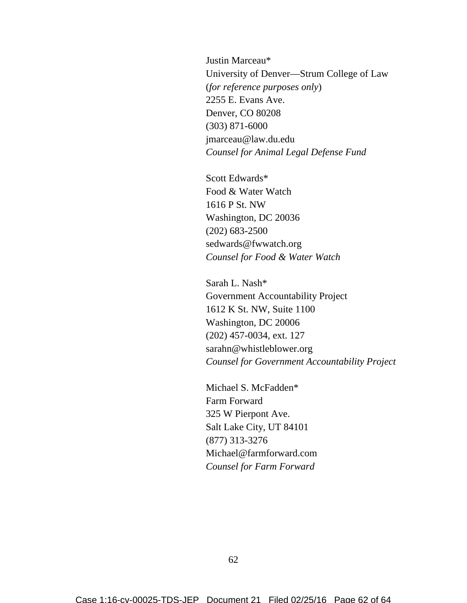Justin Marceau\* University of Denver—Strum College of Law (*for reference purposes only*) 2255 E. Evans Ave. Denver, CO 80208 (303) 871-6000 jmarceau@law.du.edu *Counsel for Animal Legal Defense Fund*

Scott Edwards\* Food & Water Watch 1616 P St. NW Washington, DC 20036 (202) 683-2500 sedwards@fwwatch.org *Counsel for Food & Water Watch*

Sarah L. Nash\* Government Accountability Project 1612 K St. NW, Suite 1100 Washington, DC 20006 (202) 457-0034, ext. 127 sarahn@whistleblower.org *Counsel for Government Accountability Project*

Michael S. McFadden\* Farm Forward 325 W Pierpont Ave. Salt Lake City, UT 84101 (877) 313-3276 Michael@farmforward.com *Counsel for Farm Forward*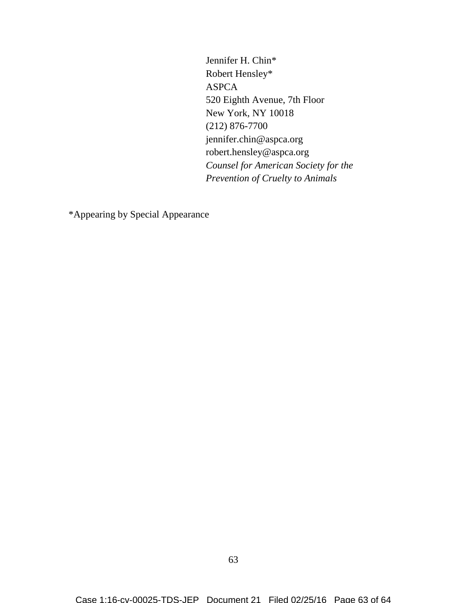Jennifer H. Chin\* Robert Hensley\* ASPCA 520 Eighth Avenue, 7th Floor New York, NY 10018 (212) 876-7700 jennifer.chin@aspca.org robert.hensley@aspca.org *Counsel for American Society for the Prevention of Cruelty to Animals*

\*Appearing by Special Appearance